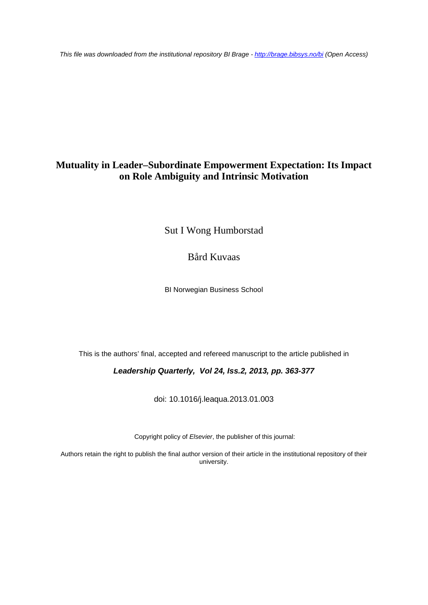*This file was downloaded from the institutional repository BI Brage - <http://brage.bibsys.no/bi> (Open Access)*

# **Mutuality in Leader–Subordinate Empowerment Expectation: Its Impact on Role Ambiguity and Intrinsic Motivation**

Sut I Wong Humborstad

Bård Kuvaas

BI Norwegian Business School

This is the authors' final, accepted and refereed manuscript to the article published in

*Leadership Quarterly, Vol 24, Iss.2, 2013, pp. 363-377*

doi: 10.1016/j.leaqua.2013.01.003

Copyright policy of *Elsevier*, the publisher of this journal:

Authors retain the right to publish the final author version of their article in the institutional repository of their university.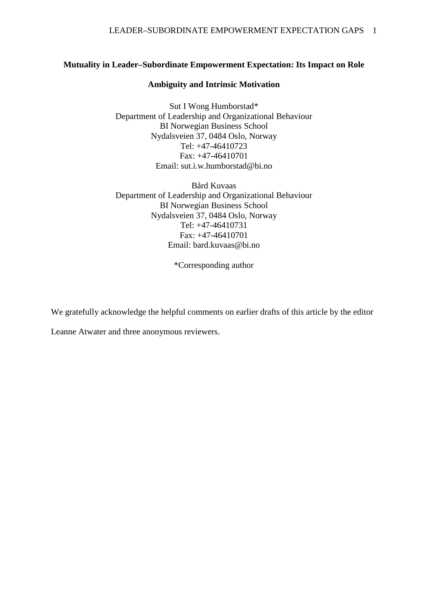## **Mutuality in Leader–Subordinate Empowerment Expectation: Its Impact on Role**

## **Ambiguity and Intrinsic Motivation**

Sut I Wong Humborstad\* Department of Leadership and Organizational Behaviour BI Norwegian Business School Nydalsveien 37, 0484 Oslo, Norway Tel: +47-46410723 Fax: +47-46410701 Email: sut.i.w.humborstad@bi.no

Bård Kuvaas Department of Leadership and Organizational Behaviour BI Norwegian Business School Nydalsveien 37, 0484 Oslo, Norway Tel: +47-46410731 Fax: +47-46410701 Email: bard.kuvaas@bi.no

\*Corresponding author

We gratefully acknowledge the helpful comments on earlier drafts of this article by the editor

Leanne Atwater and three anonymous reviewers.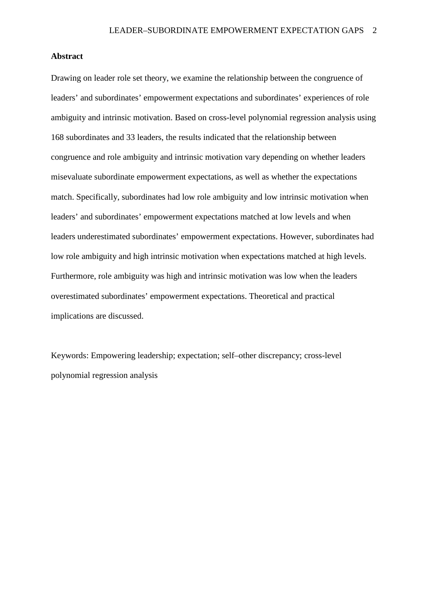## **Abstract**

Drawing on leader role set theory, we examine the relationship between the congruence of leaders' and subordinates' empowerment expectations and subordinates' experiences of role ambiguity and intrinsic motivation. Based on cross-level polynomial regression analysis using 168 subordinates and 33 leaders, the results indicated that the relationship between congruence and role ambiguity and intrinsic motivation vary depending on whether leaders misevaluate subordinate empowerment expectations, as well as whether the expectations match. Specifically, subordinates had low role ambiguity and low intrinsic motivation when leaders' and subordinates' empowerment expectations matched at low levels and when leaders underestimated subordinates' empowerment expectations. However, subordinates had low role ambiguity and high intrinsic motivation when expectations matched at high levels. Furthermore, role ambiguity was high and intrinsic motivation was low when the leaders overestimated subordinates' empowerment expectations. Theoretical and practical implications are discussed.

Keywords: Empowering leadership; expectation; self–other discrepancy; cross-level polynomial regression analysis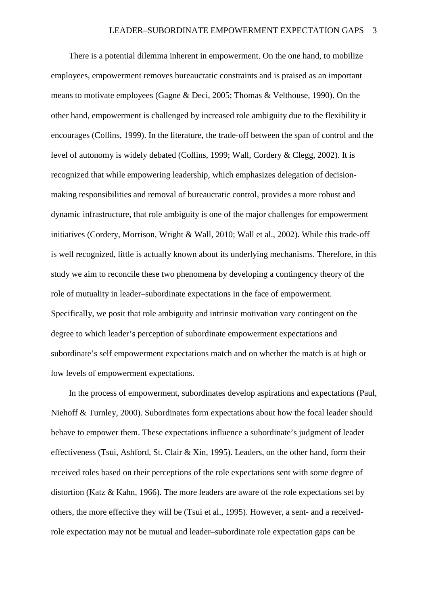There is a potential dilemma inherent in empowerment. On the one hand, to mobilize employees, empowerment removes bureaucratic constraints and is praised as an important means to motivate employees (Gagne & Deci, 2005; Thomas & Velthouse, 1990). On the other hand, empowerment is challenged by increased role ambiguity due to the flexibility it encourages (Collins, 1999). In the literature, the trade-off between the span of control and the level of autonomy is widely debated (Collins, 1999; Wall, Cordery & Clegg, 2002). It is recognized that while empowering leadership, which emphasizes delegation of decisionmaking responsibilities and removal of bureaucratic control, provides a more robust and dynamic infrastructure, that role ambiguity is one of the major challenges for empowerment initiatives (Cordery, Morrison, Wright & Wall, 2010; Wall et al., 2002). While this trade-off is well recognized, little is actually known about its underlying mechanisms. Therefore, in this study we aim to reconcile these two phenomena by developing a contingency theory of the role of mutuality in leader–subordinate expectations in the face of empowerment. Specifically, we posit that role ambiguity and intrinsic motivation vary contingent on the degree to which leader's perception of subordinate empowerment expectations and subordinate's self empowerment expectations match and on whether the match is at high or low levels of empowerment expectations.

In the process of empowerment, subordinates develop aspirations and expectations (Paul, Niehoff & Turnley, 2000). Subordinates form expectations about how the focal leader should behave to empower them. These expectations influence a subordinate's judgment of leader effectiveness (Tsui, Ashford, St. Clair & Xin, 1995). Leaders, on the other hand, form their received roles based on their perceptions of the role expectations sent with some degree of distortion (Katz & Kahn, 1966). The more leaders are aware of the role expectations set by others, the more effective they will be (Tsui et al., 1995). However, a sent- and a receivedrole expectation may not be mutual and leader–subordinate role expectation gaps can be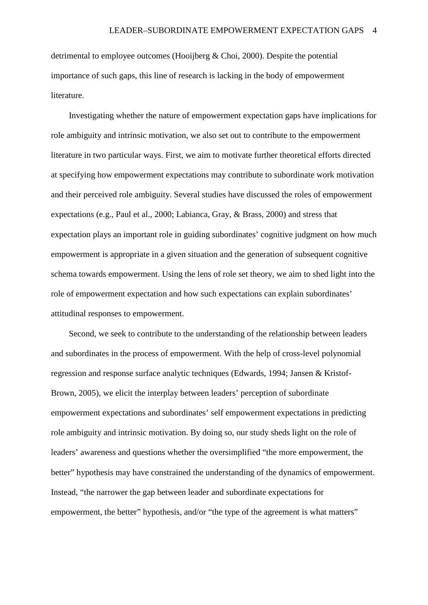detrimental to employee outcomes (Hooijberg & Choi, 2000). Despite the potential importance of such gaps, this line of research is lacking in the body of empowerment literature.

Investigating whether the nature of empowerment expectation gaps have implications for role ambiguity and intrinsic motivation, we also set out to contribute to the empowerment literature in two particular ways. First, we aim to motivate further theoretical efforts directed at specifying how empowerment expectations may contribute to subordinate work motivation and their perceived role ambiguity. Several studies have discussed the roles of empowerment expectations (e.g., Paul et al., 2000; Labianca, Gray, & Brass, 2000) and stress that expectation plays an important role in guiding subordinates' cognitive judgment on how much empowerment is appropriate in a given situation and the generation of subsequent cognitive schema towards empowerment. Using the lens of role set theory, we aim to shed light into the role of empowerment expectation and how such expectations can explain subordinates' attitudinal responses to empowerment.

Second, we seek to contribute to the understanding of the relationship between leaders and subordinates in the process of empowerment. With the help of cross-level polynomial regression and response surface analytic techniques (Edwards, 1994; Jansen & Kristof-Brown, 2005), we elicit the interplay between leaders' perception of subordinate empowerment expectations and subordinates' self empowerment expectations in predicting role ambiguity and intrinsic motivation. By doing so, our study sheds light on the role of leaders' awareness and questions whether the oversimplified "the more empowerment, the better" hypothesis may have constrained the understanding of the dynamics of empowerment. Instead, "the narrower the gap between leader and subordinate expectations for empowerment, the better" hypothesis, and/or "the type of the agreement is what matters"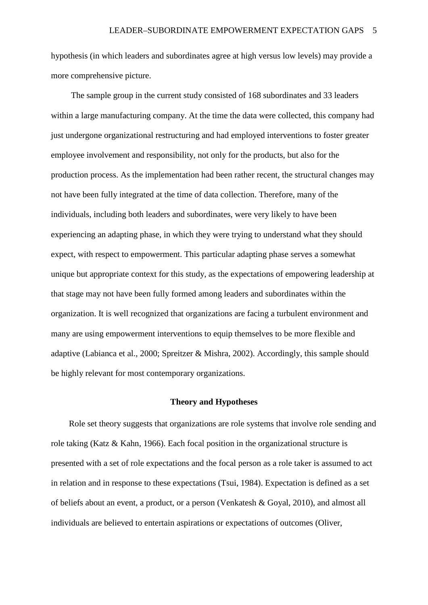hypothesis (in which leaders and subordinates agree at high versus low levels) may provide a more comprehensive picture.

The sample group in the current study consisted of 168 subordinates and 33 leaders within a large manufacturing company. At the time the data were collected, this company had just undergone organizational restructuring and had employed interventions to foster greater employee involvement and responsibility, not only for the products, but also for the production process. As the implementation had been rather recent, the structural changes may not have been fully integrated at the time of data collection. Therefore, many of the individuals, including both leaders and subordinates, were very likely to have been experiencing an adapting phase, in which they were trying to understand what they should expect, with respect to empowerment. This particular adapting phase serves a somewhat unique but appropriate context for this study, as the expectations of empowering leadership at that stage may not have been fully formed among leaders and subordinates within the organization. It is well recognized that organizations are facing a turbulent environment and many are using empowerment interventions to equip themselves to be more flexible and adaptive (Labianca et al., 2000; Spreitzer & Mishra, 2002). Accordingly, this sample should be highly relevant for most contemporary organizations.

#### **Theory and Hypotheses**

Role set theory suggests that organizations are role systems that involve role sending and role taking (Katz & Kahn, 1966). Each focal position in the organizational structure is presented with a set of role expectations and the focal person as a role taker is assumed to act in relation and in response to these expectations (Tsui, 1984). Expectation is defined as a set of beliefs about an event, a product, or a person (Venkatesh & Goyal, 2010), and almost all individuals are believed to entertain aspirations or expectations of outcomes (Oliver,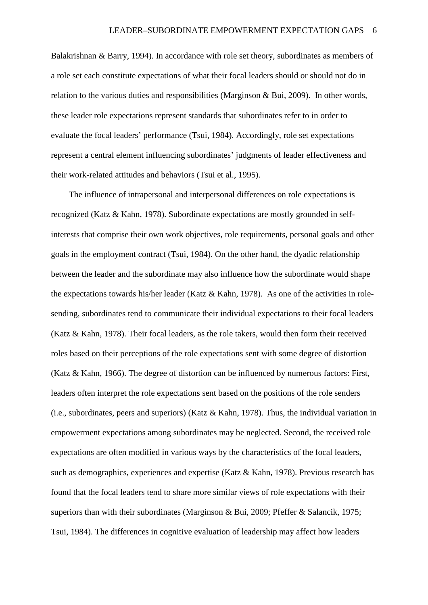Balakrishnan & Barry, 1994). In accordance with role set theory, subordinates as members of a role set each constitute expectations of what their focal leaders should or should not do in relation to the various duties and responsibilities (Marginson & Bui, 2009). In other words, these leader role expectations represent standards that subordinates refer to in order to evaluate the focal leaders' performance (Tsui, 1984). Accordingly, role set expectations represent a central element influencing subordinates' judgments of leader effectiveness and their work-related attitudes and behaviors (Tsui et al., 1995).

The influence of intrapersonal and interpersonal differences on role expectations is recognized (Katz & Kahn, 1978). Subordinate expectations are mostly grounded in selfinterests that comprise their own work objectives, role requirements, personal goals and other goals in the employment contract (Tsui, 1984). On the other hand, the dyadic relationship between the leader and the subordinate may also influence how the subordinate would shape the expectations towards his/her leader (Katz & Kahn, 1978). As one of the activities in rolesending, subordinates tend to communicate their individual expectations to their focal leaders (Katz & Kahn, 1978). Their focal leaders, as the role takers, would then form their received roles based on their perceptions of the role expectations sent with some degree of distortion (Katz & Kahn, 1966). The degree of distortion can be influenced by numerous factors: First, leaders often interpret the role expectations sent based on the positions of the role senders (i.e., subordinates, peers and superiors) (Katz & Kahn, 1978). Thus, the individual variation in empowerment expectations among subordinates may be neglected. Second, the received role expectations are often modified in various ways by the characteristics of the focal leaders, such as demographics, experiences and expertise (Katz & Kahn, 1978). Previous research has found that the focal leaders tend to share more similar views of role expectations with their superiors than with their subordinates (Marginson & Bui, 2009; Pfeffer & Salancik, 1975; Tsui, 1984). The differences in cognitive evaluation of leadership may affect how leaders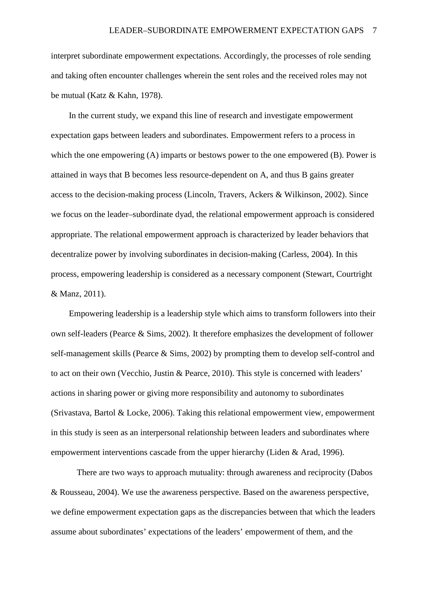interpret subordinate empowerment expectations. Accordingly, the processes of role sending and taking often encounter challenges wherein the sent roles and the received roles may not be mutual (Katz & Kahn, 1978).

In the current study, we expand this line of research and investigate empowerment expectation gaps between leaders and subordinates. Empowerment refers to a process in which the one empowering (A) imparts or bestows power to the one empowered (B). Power is attained in ways that B becomes less resource-dependent on A, and thus B gains greater access to the decision-making process (Lincoln, Travers, Ackers & Wilkinson, 2002). Since we focus on the leader–subordinate dyad, the relational empowerment approach is considered appropriate. The relational empowerment approach is characterized by leader behaviors that decentralize power by involving subordinates in decision-making (Carless, 2004). In this process, empowering leadership is considered as a necessary component (Stewart, Courtright & Manz, 2011).

Empowering leadership is a leadership style which aims to transform followers into their own self-leaders (Pearce & Sims, 2002). It therefore emphasizes the development of follower self-management skills (Pearce & Sims, 2002) by prompting them to develop self-control and to act on their own (Vecchio, Justin & Pearce, 2010). This style is concerned with leaders' actions in sharing power or giving more responsibility and autonomy to subordinates (Srivastava, Bartol & Locke, 2006). Taking this relational empowerment view, empowerment in this study is seen as an interpersonal relationship between leaders and subordinates where empowerment interventions cascade from the upper hierarchy (Liden & Arad, 1996).

There are two ways to approach mutuality: through awareness and reciprocity (Dabos & Rousseau, 2004). We use the awareness perspective. Based on the awareness perspective, we define empowerment expectation gaps as the discrepancies between that which the leaders assume about subordinates' expectations of the leaders' empowerment of them, and the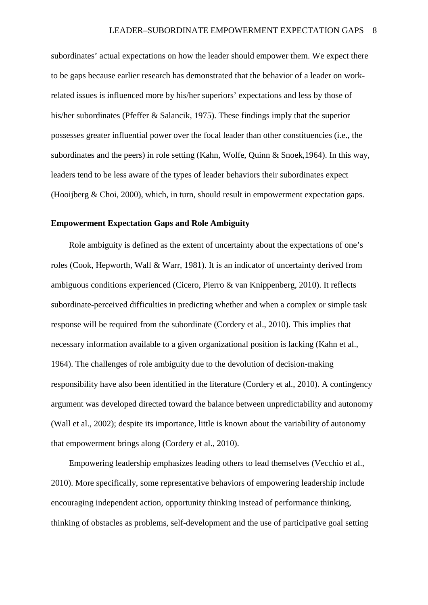subordinates' actual expectations on how the leader should empower them. We expect there to be gaps because earlier research has demonstrated that the behavior of a leader on workrelated issues is influenced more by his/her superiors' expectations and less by those of his/her subordinates (Pfeffer & Salancik, 1975). These findings imply that the superior possesses greater influential power over the focal leader than other constituencies (i.e., the subordinates and the peers) in role setting (Kahn, Wolfe, Quinn & Snoek,1964). In this way, leaders tend to be less aware of the types of leader behaviors their subordinates expect (Hooijberg & Choi, 2000), which, in turn, should result in empowerment expectation gaps.

#### **Empowerment Expectation Gaps and Role Ambiguity**

Role ambiguity is defined as the extent of uncertainty about the expectations of one's roles (Cook, Hepworth, Wall & Warr, 1981). It is an indicator of uncertainty derived from ambiguous conditions experienced (Cicero, Pierro & van Knippenberg, 2010). It reflects subordinate-perceived difficulties in predicting whether and when a complex or simple task response will be required from the subordinate (Cordery et al., 2010). This implies that necessary information available to a given organizational position is lacking (Kahn et al., 1964). The challenges of role ambiguity due to the devolution of decision-making responsibility have also been identified in the literature (Cordery et al., 2010). A contingency argument was developed directed toward the balance between unpredictability and autonomy (Wall et al., 2002); despite its importance, little is known about the variability of autonomy that empowerment brings along (Cordery et al., 2010).

Empowering leadership emphasizes leading others to lead themselves (Vecchio et al., 2010). More specifically, some representative behaviors of empowering leadership include encouraging independent action, opportunity thinking instead of performance thinking, thinking of obstacles as problems, self-development and the use of participative goal setting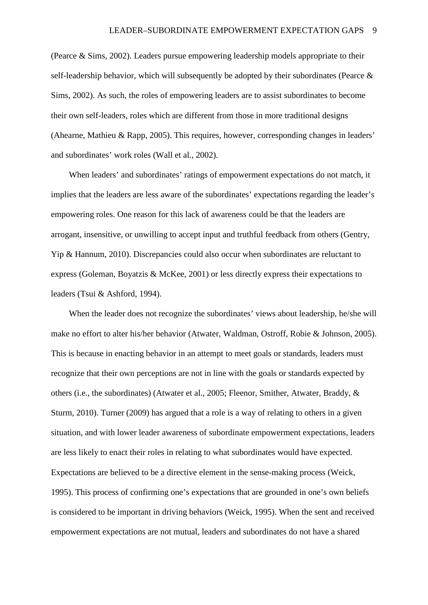(Pearce & Sims, 2002). Leaders pursue empowering leadership models appropriate to their self-leadership behavior, which will subsequently be adopted by their subordinates (Pearce & Sims, 2002). As such, the roles of empowering leaders are to assist subordinates to become their own self-leaders, roles which are different from those in more traditional designs (Ahearne, Mathieu & Rapp, 2005). This requires, however, corresponding changes in leaders' and subordinates' work roles (Wall et al., 2002).

When leaders' and subordinates' ratings of empowerment expectations do not match, it implies that the leaders are less aware of the subordinates' expectations regarding the leader's empowering roles. One reason for this lack of awareness could be that the leaders are arrogant, insensitive, or unwilling to accept input and truthful feedback from others (Gentry, Yip & Hannum, 2010). Discrepancies could also occur when subordinates are reluctant to express (Goleman, Boyatzis & McKee, 2001) or less directly express their expectations to leaders (Tsui & Ashford, 1994).

When the leader does not recognize the subordinates' views about leadership, he/she will make no effort to alter his/her behavior (Atwater, Waldman, Ostroff, Robie & Johnson, 2005). This is because in enacting behavior in an attempt to meet goals or standards, leaders must recognize that their own perceptions are not in line with the goals or standards expected by others (i.e., the subordinates) (Atwater et al., 2005; Fleenor, Smither, Atwater, Braddy, & Sturm, 2010). Turner (2009) has argued that a role is a way of relating to others in a given situation, and with lower leader awareness of subordinate empowerment expectations, leaders are less likely to enact their roles in relating to what subordinates would have expected. Expectations are believed to be a directive element in the sense-making process (Weick, 1995). This process of confirming one's expectations that are grounded in one's own beliefs is considered to be important in driving behaviors (Weick, 1995). When the sent and received empowerment expectations are not mutual, leaders and subordinates do not have a shared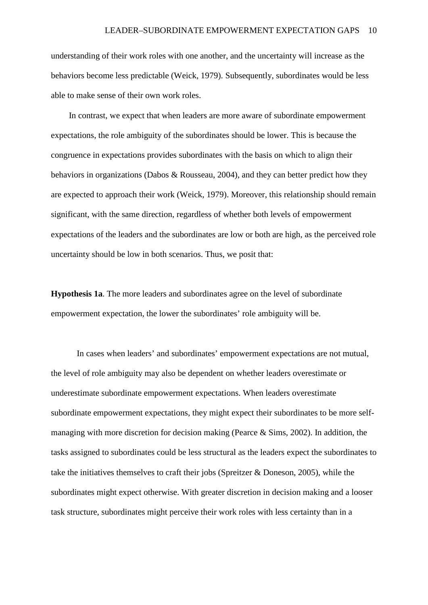understanding of their work roles with one another, and the uncertainty will increase as the behaviors become less predictable (Weick, 1979). Subsequently, subordinates would be less able to make sense of their own work roles.

In contrast, we expect that when leaders are more aware of subordinate empowerment expectations, the role ambiguity of the subordinates should be lower. This is because the congruence in expectations provides subordinates with the basis on which to align their behaviors in organizations (Dabos & Rousseau, 2004), and they can better predict how they are expected to approach their work (Weick, 1979). Moreover, this relationship should remain significant, with the same direction, regardless of whether both levels of empowerment expectations of the leaders and the subordinates are low or both are high, as the perceived role uncertainty should be low in both scenarios. Thus, we posit that:

**Hypothesis 1a**. The more leaders and subordinates agree on the level of subordinate empowerment expectation, the lower the subordinates' role ambiguity will be.

In cases when leaders' and subordinates' empowerment expectations are not mutual, the level of role ambiguity may also be dependent on whether leaders overestimate or underestimate subordinate empowerment expectations. When leaders overestimate subordinate empowerment expectations, they might expect their subordinates to be more selfmanaging with more discretion for decision making (Pearce & Sims, 2002). In addition, the tasks assigned to subordinates could be less structural as the leaders expect the subordinates to take the initiatives themselves to craft their jobs (Spreitzer & Doneson, 2005), while the subordinates might expect otherwise. With greater discretion in decision making and a looser task structure, subordinates might perceive their work roles with less certainty than in a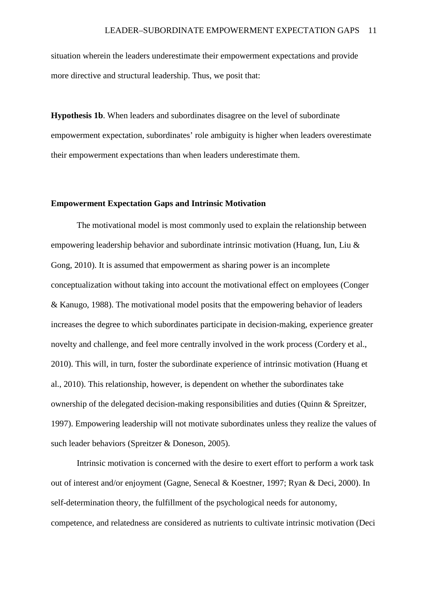situation wherein the leaders underestimate their empowerment expectations and provide more directive and structural leadership. Thus, we posit that:

**Hypothesis 1b**. When leaders and subordinates disagree on the level of subordinate empowerment expectation, subordinates' role ambiguity is higher when leaders overestimate their empowerment expectations than when leaders underestimate them.

#### **Empowerment Expectation Gaps and Intrinsic Motivation**

The motivational model is most commonly used to explain the relationship between empowering leadership behavior and subordinate intrinsic motivation (Huang, Iun, Liu & Gong, 2010). It is assumed that empowerment as sharing power is an incomplete conceptualization without taking into account the motivational effect on employees (Conger & Kanugo, 1988). The motivational model posits that the empowering behavior of leaders increases the degree to which subordinates participate in decision-making, experience greater novelty and challenge, and feel more centrally involved in the work process (Cordery et al., 2010). This will, in turn, foster the subordinate experience of intrinsic motivation (Huang et al., 2010). This relationship, however, is dependent on whether the subordinates take ownership of the delegated decision-making responsibilities and duties (Quinn & Spreitzer, 1997). Empowering leadership will not motivate subordinates unless they realize the values of such leader behaviors (Spreitzer & Doneson, 2005).

Intrinsic motivation is concerned with the desire to exert effort to perform a work task out of interest and/or enjoyment (Gagne, Senecal & Koestner, 1997; Ryan & Deci, 2000). In self-determination theory, the fulfillment of the psychological needs for autonomy, competence, and relatedness are considered as nutrients to cultivate intrinsic motivation (Deci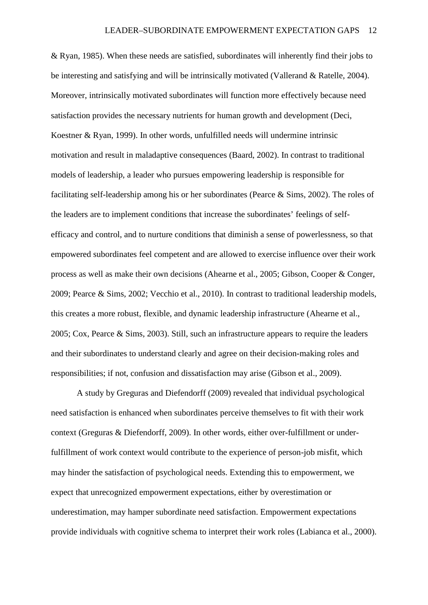& Ryan, 1985). When these needs are satisfied, subordinates will inherently find their jobs to be interesting and satisfying and will be intrinsically motivated (Vallerand & Ratelle, 2004). Moreover, intrinsically motivated subordinates will function more effectively because need satisfaction provides the necessary nutrients for human growth and development (Deci, Koestner & Ryan, 1999). In other words, unfulfilled needs will undermine intrinsic motivation and result in maladaptive consequences (Baard, 2002). In contrast to traditional models of leadership, a leader who pursues empowering leadership is responsible for facilitating self-leadership among his or her subordinates (Pearce & Sims, 2002). The roles of the leaders are to implement conditions that increase the subordinates' feelings of selfefficacy and control, and to nurture conditions that diminish a sense of powerlessness, so that empowered subordinates feel competent and are allowed to exercise influence over their work process as well as make their own decisions (Ahearne et al., 2005; Gibson, Cooper & Conger, 2009; Pearce & Sims, 2002; Vecchio et al., 2010). In contrast to traditional leadership models, this creates a more robust, flexible, and dynamic leadership infrastructure (Ahearne et al., 2005; Cox, Pearce & Sims, 2003). Still, such an infrastructure appears to require the leaders and their subordinates to understand clearly and agree on their decision-making roles and responsibilities; if not, confusion and dissatisfaction may arise (Gibson et al., 2009).

A study by Greguras and Diefendorff (2009) revealed that individual psychological need satisfaction is enhanced when subordinates perceive themselves to fit with their work context (Greguras & Diefendorff, 2009). In other words, either over-fulfillment or underfulfillment of work context would contribute to the experience of person-job misfit, which may hinder the satisfaction of psychological needs. Extending this to empowerment, we expect that unrecognized empowerment expectations, either by overestimation or underestimation, may hamper subordinate need satisfaction. Empowerment expectations provide individuals with cognitive schema to interpret their work roles (Labianca et al., 2000).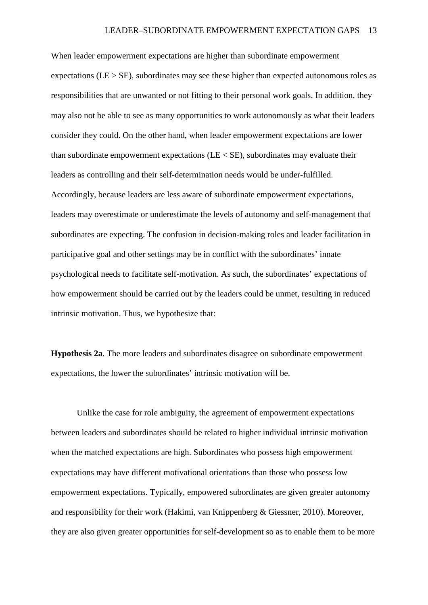When leader empowerment expectations are higher than subordinate empowerment expectations ( $LE > SE$ ), subordinates may see these higher than expected autonomous roles as responsibilities that are unwanted or not fitting to their personal work goals. In addition, they may also not be able to see as many opportunities to work autonomously as what their leaders consider they could. On the other hand, when leader empowerment expectations are lower than subordinate empowerment expectations (LE < SE), subordinates may evaluate their leaders as controlling and their self-determination needs would be under-fulfilled. Accordingly, because leaders are less aware of subordinate empowerment expectations, leaders may overestimate or underestimate the levels of autonomy and self-management that subordinates are expecting. The confusion in decision-making roles and leader facilitation in participative goal and other settings may be in conflict with the subordinates' innate psychological needs to facilitate self-motivation. As such, the subordinates' expectations of how empowerment should be carried out by the leaders could be unmet, resulting in reduced intrinsic motivation. Thus, we hypothesize that:

**Hypothesis 2a**. The more leaders and subordinates disagree on subordinate empowerment expectations, the lower the subordinates' intrinsic motivation will be.

Unlike the case for role ambiguity, the agreement of empowerment expectations between leaders and subordinates should be related to higher individual intrinsic motivation when the matched expectations are high. Subordinates who possess high empowerment expectations may have different motivational orientations than those who possess low empowerment expectations. Typically, empowered subordinates are given greater autonomy and responsibility for their work (Hakimi, van Knippenberg & Giessner, 2010). Moreover, they are also given greater opportunities for self-development so as to enable them to be more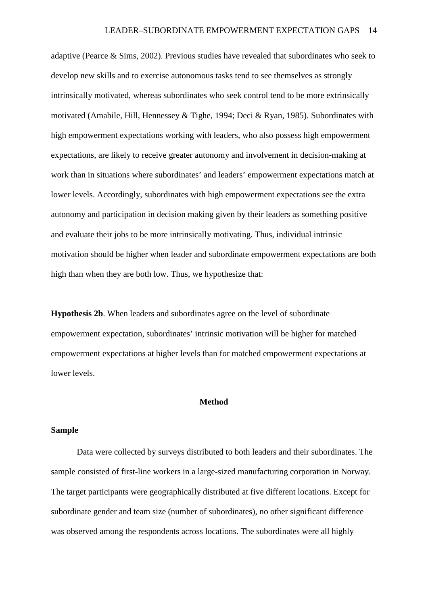adaptive (Pearce & Sims, 2002). Previous studies have revealed that subordinates who seek to develop new skills and to exercise autonomous tasks tend to see themselves as strongly intrinsically motivated, whereas subordinates who seek control tend to be more extrinsically motivated (Amabile, Hill, Hennessey & Tighe, 1994; Deci & Ryan, 1985). Subordinates with high empowerment expectations working with leaders, who also possess high empowerment expectations, are likely to receive greater autonomy and involvement in decision-making at work than in situations where subordinates' and leaders' empowerment expectations match at lower levels. Accordingly, subordinates with high empowerment expectations see the extra autonomy and participation in decision making given by their leaders as something positive and evaluate their jobs to be more intrinsically motivating. Thus, individual intrinsic motivation should be higher when leader and subordinate empowerment expectations are both high than when they are both low. Thus, we hypothesize that:

**Hypothesis 2b**. When leaders and subordinates agree on the level of subordinate empowerment expectation, subordinates' intrinsic motivation will be higher for matched empowerment expectations at higher levels than for matched empowerment expectations at lower levels.

### **Method**

#### **Sample**

Data were collected by surveys distributed to both leaders and their subordinates. The sample consisted of first-line workers in a large-sized manufacturing corporation in Norway. The target participants were geographically distributed at five different locations. Except for subordinate gender and team size (number of subordinates), no other significant difference was observed among the respondents across locations. The subordinates were all highly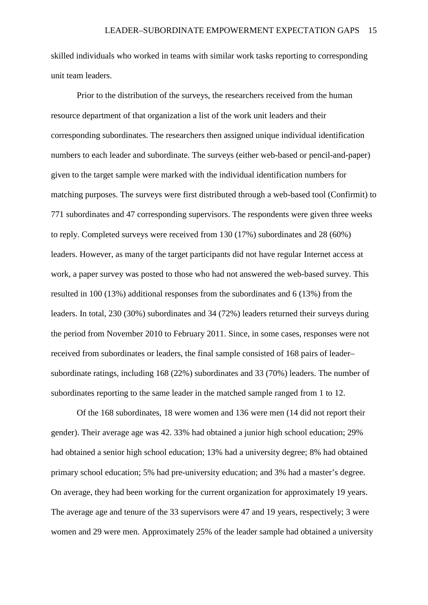skilled individuals who worked in teams with similar work tasks reporting to corresponding unit team leaders.

Prior to the distribution of the surveys, the researchers received from the human resource department of that organization a list of the work unit leaders and their corresponding subordinates. The researchers then assigned unique individual identification numbers to each leader and subordinate. The surveys (either web-based or pencil-and-paper) given to the target sample were marked with the individual identification numbers for matching purposes. The surveys were first distributed through a web-based tool (Confirmit) to 771 subordinates and 47 corresponding supervisors. The respondents were given three weeks to reply. Completed surveys were received from 130 (17%) subordinates and 28 (60%) leaders. However, as many of the target participants did not have regular Internet access at work, a paper survey was posted to those who had not answered the web-based survey. This resulted in 100 (13%) additional responses from the subordinates and 6 (13%) from the leaders. In total, 230 (30%) subordinates and 34 (72%) leaders returned their surveys during the period from November 2010 to February 2011. Since, in some cases, responses were not received from subordinates or leaders, the final sample consisted of 168 pairs of leader– subordinate ratings, including 168 (22%) subordinates and 33 (70%) leaders. The number of subordinates reporting to the same leader in the matched sample ranged from 1 to 12.

Of the 168 subordinates, 18 were women and 136 were men (14 did not report their gender). Their average age was 42. 33% had obtained a junior high school education; 29% had obtained a senior high school education; 13% had a university degree; 8% had obtained primary school education; 5% had pre-university education; and 3% had a master's degree. On average, they had been working for the current organization for approximately 19 years. The average age and tenure of the 33 supervisors were 47 and 19 years, respectively; 3 were women and 29 were men. Approximately 25% of the leader sample had obtained a university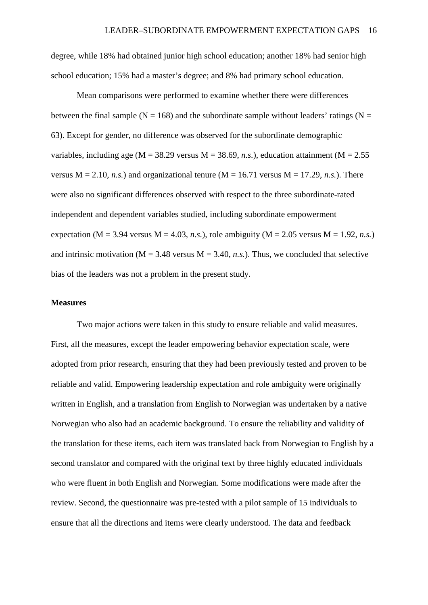degree, while 18% had obtained junior high school education; another 18% had senior high school education; 15% had a master's degree; and 8% had primary school education.

Mean comparisons were performed to examine whether there were differences between the final sample ( $N = 168$ ) and the subordinate sample without leaders' ratings ( $N =$ 63). Except for gender, no difference was observed for the subordinate demographic variables, including age ( $M = 38.29$  versus  $M = 38.69$ , *n.s.*), education attainment ( $M = 2.55$ ) versus  $M = 2.10$ , *n.s.*) and organizational tenure ( $M = 16.71$  versus  $M = 17.29$ , *n.s.*). There were also no significant differences observed with respect to the three subordinate-rated independent and dependent variables studied, including subordinate empowerment expectation (M = 3.94 versus M = 4.03, *n.s.*), role ambiguity (M = 2.05 versus M = 1.92, *n.s.*) and intrinsic motivation ( $M = 3.48$  versus  $M = 3.40$ , *n.s.*). Thus, we concluded that selective bias of the leaders was not a problem in the present study.

#### **Measures**

Two major actions were taken in this study to ensure reliable and valid measures. First, all the measures, except the leader empowering behavior expectation scale, were adopted from prior research, ensuring that they had been previously tested and proven to be reliable and valid. Empowering leadership expectation and role ambiguity were originally written in English, and a translation from English to Norwegian was undertaken by a native Norwegian who also had an academic background. To ensure the reliability and validity of the translation for these items, each item was translated back from Norwegian to English by a second translator and compared with the original text by three highly educated individuals who were fluent in both English and Norwegian. Some modifications were made after the review. Second, the questionnaire was pre-tested with a pilot sample of 15 individuals to ensure that all the directions and items were clearly understood. The data and feedback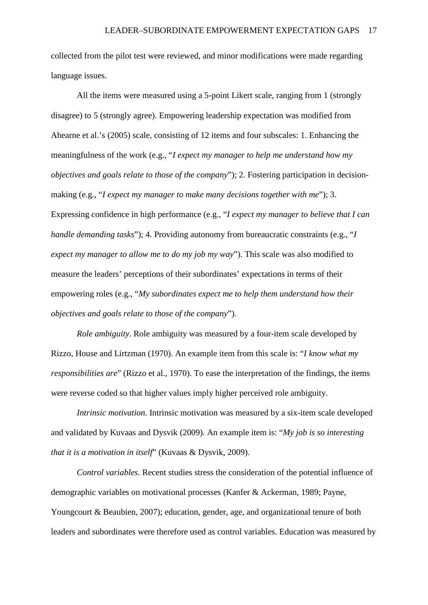collected from the pilot test were reviewed, and minor modifications were made regarding language issues.

All the items were measured using a 5-point Likert scale, ranging from 1 (strongly disagree) to 5 (strongly agree). Empowering leadership expectation was modified from Ahearne et al.'s (2005) scale, consisting of 12 items and four subscales: 1. Enhancing the meaningfulness of the work (e.g., "*I expect my manager to help me understand how my objectives and goals relate to those of the company*"); 2. Fostering participation in decisionmaking (e.g., "*I expect my manager to make many decisions together with me*"); 3. Expressing confidence in high performance (e.g., "*I expect my manager to believe that I can handle demanding tasks*"); 4. Providing autonomy from bureaucratic constraints (e.g., "*I expect my manager to allow me to do my job my way*"). This scale was also modified to measure the leaders' perceptions of their subordinates' expectations in terms of their empowering roles (e.g., "*My subordinates expect me to help them understand how their objectives and goals relate to those of the company*").

*Role ambiguity*. Role ambiguity was measured by a four-item scale developed by Rizzo, House and Lirtzman (1970). An example item from this scale is: "*I know what my responsibilities are*" (Rizzo et al., 1970). To ease the interpretation of the findings, the items were reverse coded so that higher values imply higher perceived role ambiguity.

*Intrinsic motivation.* Intrinsic motivation was measured by a six-item scale developed and validated by Kuvaas and Dysvik (2009). An example item is: "*My job is so interesting that it is a motivation in itself*" (Kuvaas & Dysvik, 2009).

*Control variables*. Recent studies stress the consideration of the potential influence of demographic variables on motivational processes (Kanfer & Ackerman, 1989; Payne, Youngcourt & Beaubien, 2007); education, gender, age, and organizational tenure of both leaders and subordinates were therefore used as control variables. Education was measured by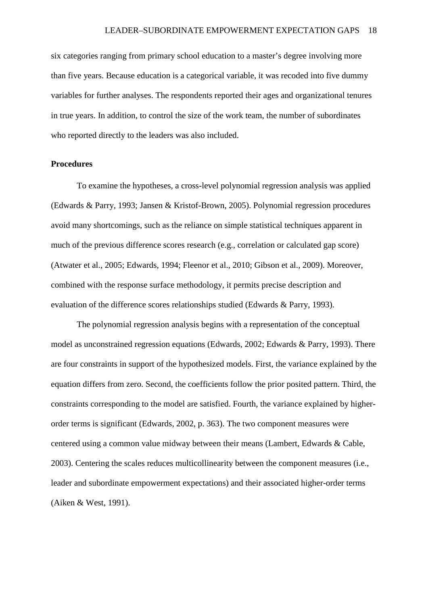six categories ranging from primary school education to a master's degree involving more than five years. Because education is a categorical variable, it was recoded into five dummy variables for further analyses. The respondents reported their ages and organizational tenures in true years. In addition, to control the size of the work team, the number of subordinates who reported directly to the leaders was also included.

#### **Procedures**

To examine the hypotheses, a cross-level polynomial regression analysis was applied (Edwards & Parry, 1993; Jansen & Kristof-Brown, 2005). Polynomial regression procedures avoid many shortcomings, such as the reliance on simple statistical techniques apparent in much of the previous difference scores research (e.g., correlation or calculated gap score) (Atwater et al., 2005; Edwards, 1994; Fleenor et al., 2010; Gibson et al., 2009). Moreover, combined with the response surface methodology, it permits precise description and evaluation of the difference scores relationships studied (Edwards & Parry, 1993).

The polynomial regression analysis begins with a representation of the conceptual model as unconstrained regression equations (Edwards, 2002; Edwards & Parry, 1993). There are four constraints in support of the hypothesized models. First, the variance explained by the equation differs from zero. Second, the coefficients follow the prior posited pattern. Third, the constraints corresponding to the model are satisfied. Fourth, the variance explained by higherorder terms is significant (Edwards, 2002, p. 363). The two component measures were centered using a common value midway between their means (Lambert, Edwards & Cable, 2003). Centering the scales reduces multicollinearity between the component measures (i.e., leader and subordinate empowerment expectations) and their associated higher-order terms (Aiken & West, 1991).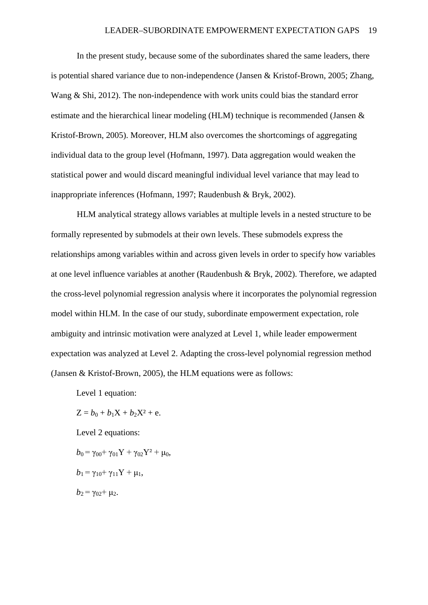In the present study, because some of the subordinates shared the same leaders, there is potential shared variance due to non-independence (Jansen & Kristof-Brown, 2005; Zhang, Wang & Shi, 2012). The non-independence with work units could bias the standard error estimate and the hierarchical linear modeling (HLM) technique is recommended (Jansen & Kristof-Brown, 2005). Moreover, HLM also overcomes the shortcomings of aggregating individual data to the group level (Hofmann, 1997). Data aggregation would weaken the statistical power and would discard meaningful individual level variance that may lead to inappropriate inferences (Hofmann, 1997; Raudenbush & Bryk, 2002).

HLM analytical strategy allows variables at multiple levels in a nested structure to be formally represented by submodels at their own levels. These submodels express the relationships among variables within and across given levels in order to specify how variables at one level influence variables at another (Raudenbush & Bryk, 2002). Therefore, we adapted the cross-level polynomial regression analysis where it incorporates the polynomial regression model within HLM. In the case of our study, subordinate empowerment expectation, role ambiguity and intrinsic motivation were analyzed at Level 1, while leader empowerment expectation was analyzed at Level 2. Adapting the cross-level polynomial regression method (Jansen & Kristof-Brown, 2005), the HLM equations were as follows:

Level 1 equation:

 $Z = b_0 + b_1X + b_2X^2 + e.$ Level 2 equations:  $b_0 = \gamma_{00} + \gamma_{01} Y + \gamma_{02} Y^2 + \mu_0$  $b_1 = \gamma_{10} + \gamma_{11}Y + \mu_1$ ,  $b_2 = \gamma_{02} + \mu_2$ .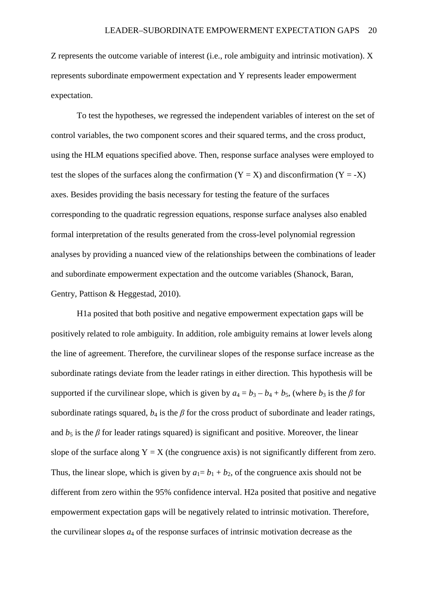Z represents the outcome variable of interest (i.e., role ambiguity and intrinsic motivation). X represents subordinate empowerment expectation and Y represents leader empowerment expectation.

To test the hypotheses, we regressed the independent variables of interest on the set of control variables, the two component scores and their squared terms, and the cross product, using the HLM equations specified above. Then, response surface analyses were employed to test the slopes of the surfaces along the confirmation  $(Y = X)$  and disconfirmation  $(Y = -X)$ axes. Besides providing the basis necessary for testing the feature of the surfaces corresponding to the quadratic regression equations, response surface analyses also enabled formal interpretation of the results generated from the cross-level polynomial regression analyses by providing a nuanced view of the relationships between the combinations of leader and subordinate empowerment expectation and the outcome variables (Shanock, Baran, Gentry, Pattison & Heggestad, 2010).

H1a posited that both positive and negative empowerment expectation gaps will be positively related to role ambiguity. In addition, role ambiguity remains at lower levels along the line of agreement. Therefore, the curvilinear slopes of the response surface increase as the subordinate ratings deviate from the leader ratings in either direction. This hypothesis will be supported if the curvilinear slope, which is given by  $a_4 = b_3 - b_4 + b_5$ , (where  $b_3$  is the  $\beta$  for subordinate ratings squared,  $b_4$  is the  $\beta$  for the cross product of subordinate and leader ratings, and  $b_5$  is the  $\beta$  for leader ratings squared) is significant and positive. Moreover, the linear slope of the surface along  $Y = X$  (the congruence axis) is not significantly different from zero. Thus, the linear slope, which is given by  $a_1 = b_1 + b_2$ , of the congruence axis should not be different from zero within the 95% confidence interval. H2a posited that positive and negative empowerment expectation gaps will be negatively related to intrinsic motivation. Therefore, the curvilinear slopes  $a_4$  of the response surfaces of intrinsic motivation decrease as the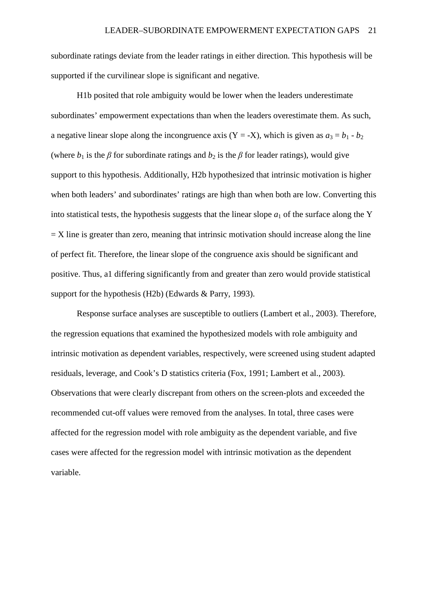subordinate ratings deviate from the leader ratings in either direction. This hypothesis will be supported if the curvilinear slope is significant and negative.

H1b posited that role ambiguity would be lower when the leaders underestimate subordinates' empowerment expectations than when the leaders overestimate them. As such, a negative linear slope along the incongruence axis  $(Y = -X)$ , which is given as  $a_3 = b_1 - b_2$ (where  $b_1$  is the  $\beta$  for subordinate ratings and  $b_2$  is the  $\beta$  for leader ratings), would give support to this hypothesis. Additionally, H2b hypothesized that intrinsic motivation is higher when both leaders' and subordinates' ratings are high than when both are low. Converting this into statistical tests, the hypothesis suggests that the linear slope  $a_1$  of the surface along the Y  $=$  X line is greater than zero, meaning that intrinsic motivation should increase along the line of perfect fit. Therefore, the linear slope of the congruence axis should be significant and positive. Thus, a1 differing significantly from and greater than zero would provide statistical support for the hypothesis (H2b) (Edwards & Parry, 1993).

Response surface analyses are susceptible to outliers (Lambert et al., 2003). Therefore, the regression equations that examined the hypothesized models with role ambiguity and intrinsic motivation as dependent variables, respectively, were screened using student adapted residuals, leverage, and Cook's D statistics criteria (Fox, 1991; Lambert et al., 2003). Observations that were clearly discrepant from others on the screen-plots and exceeded the recommended cut-off values were removed from the analyses. In total, three cases were affected for the regression model with role ambiguity as the dependent variable, and five cases were affected for the regression model with intrinsic motivation as the dependent variable.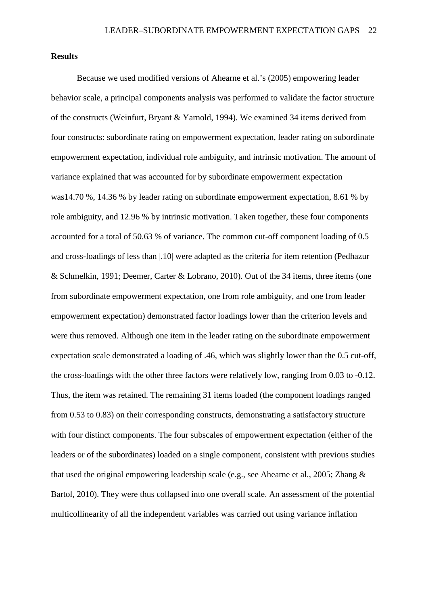## **Results**

Because we used modified versions of Ahearne et al.'s (2005) empowering leader behavior scale, a principal components analysis was performed to validate the factor structure of the constructs (Weinfurt, Bryant & Yarnold, 1994). We examined 34 items derived from four constructs: subordinate rating on empowerment expectation, leader rating on subordinate empowerment expectation, individual role ambiguity, and intrinsic motivation. The amount of variance explained that was accounted for by subordinate empowerment expectation was14.70 %, 14.36 % by leader rating on subordinate empowerment expectation, 8.61 % by role ambiguity, and 12.96 % by intrinsic motivation. Taken together, these four components accounted for a total of 50.63 % of variance. The common cut-off component loading of 0.5 and cross-loadings of less than |.10| were adapted as the criteria for item retention (Pedhazur & Schmelkin, 1991; Deemer, Carter & Lobrano, 2010). Out of the 34 items, three items (one from subordinate empowerment expectation, one from role ambiguity, and one from leader empowerment expectation) demonstrated factor loadings lower than the criterion levels and were thus removed. Although one item in the leader rating on the subordinate empowerment expectation scale demonstrated a loading of .46, which was slightly lower than the 0.5 cut-off, the cross-loadings with the other three factors were relatively low, ranging from 0.03 to -0.12. Thus, the item was retained. The remaining 31 items loaded (the component loadings ranged from 0.53 to 0.83) on their corresponding constructs, demonstrating a satisfactory structure with four distinct components. The four subscales of empowerment expectation (either of the leaders or of the subordinates) loaded on a single component, consistent with previous studies that used the original empowering leadership scale (e.g., see Ahearne et al., 2005; Zhang & Bartol, 2010). They were thus collapsed into one overall scale. An assessment of the potential multicollinearity of all the independent variables was carried out using variance inflation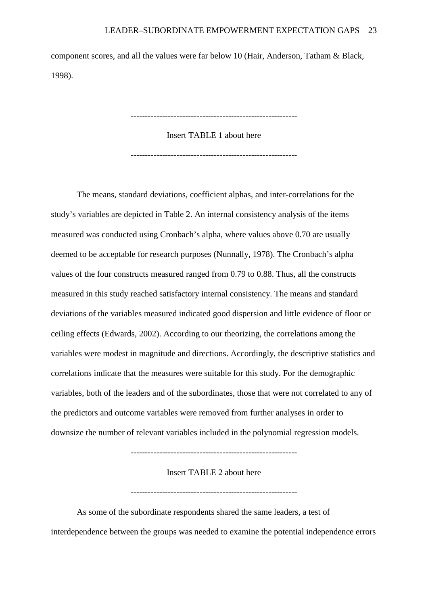component scores, and all the values were far below 10 (Hair, Anderson, Tatham & Black, 1998).

----------------------------------------------------------

Insert TABLE 1 about here

----------------------------------------------------------

The means, standard deviations, coefficient alphas, and inter-correlations for the study's variables are depicted in Table 2. An internal consistency analysis of the items measured was conducted using Cronbach's alpha, where values above 0.70 are usually deemed to be acceptable for research purposes (Nunnally, 1978). The Cronbach's alpha values of the four constructs measured ranged from 0.79 to 0.88. Thus, all the constructs measured in this study reached satisfactory internal consistency. The means and standard deviations of the variables measured indicated good dispersion and little evidence of floor or ceiling effects (Edwards, 2002). According to our theorizing, the correlations among the variables were modest in magnitude and directions. Accordingly, the descriptive statistics and correlations indicate that the measures were suitable for this study. For the demographic variables, both of the leaders and of the subordinates, those that were not correlated to any of the predictors and outcome variables were removed from further analyses in order to downsize the number of relevant variables included in the polynomial regression models.

----------------------------------------------------------

Insert TABLE 2 about here

----------------------------------------------------------

As some of the subordinate respondents shared the same leaders, a test of interdependence between the groups was needed to examine the potential independence errors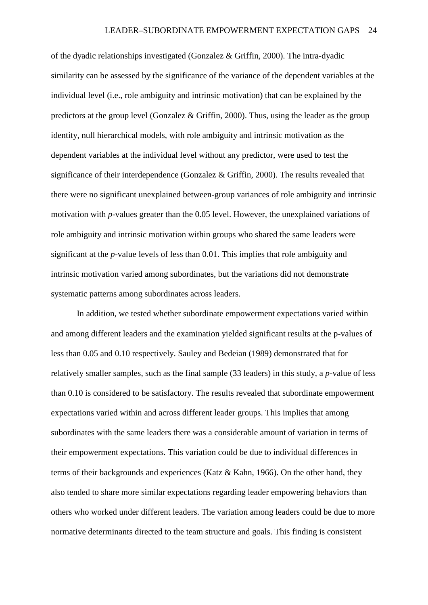of the dyadic relationships investigated (Gonzalez & Griffin, 2000). The intra-dyadic similarity can be assessed by the significance of the variance of the dependent variables at the individual level (i.e., role ambiguity and intrinsic motivation) that can be explained by the predictors at the group level (Gonzalez & Griffin, 2000). Thus, using the leader as the group identity, null hierarchical models, with role ambiguity and intrinsic motivation as the dependent variables at the individual level without any predictor, were used to test the significance of their interdependence (Gonzalez & Griffin, 2000). The results revealed that there were no significant unexplained between-group variances of role ambiguity and intrinsic motivation with *p*-values greater than the 0.05 level. However, the unexplained variations of role ambiguity and intrinsic motivation within groups who shared the same leaders were significant at the *p*-value levels of less than 0.01. This implies that role ambiguity and intrinsic motivation varied among subordinates, but the variations did not demonstrate systematic patterns among subordinates across leaders.

In addition, we tested whether subordinate empowerment expectations varied within and among different leaders and the examination yielded significant results at the p-values of less than 0.05 and 0.10 respectively. Sauley and Bedeian (1989) demonstrated that for relatively smaller samples, such as the final sample (33 leaders) in this study, a *p*-value of less than 0.10 is considered to be satisfactory. The results revealed that subordinate empowerment expectations varied within and across different leader groups. This implies that among subordinates with the same leaders there was a considerable amount of variation in terms of their empowerment expectations. This variation could be due to individual differences in terms of their backgrounds and experiences (Katz & Kahn, 1966). On the other hand, they also tended to share more similar expectations regarding leader empowering behaviors than others who worked under different leaders. The variation among leaders could be due to more normative determinants directed to the team structure and goals. This finding is consistent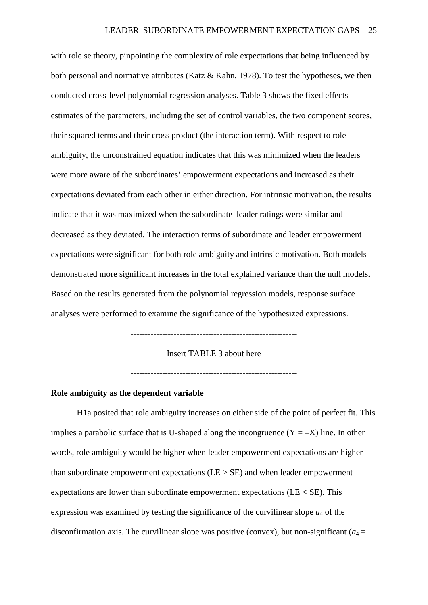with role se theory, pinpointing the complexity of role expectations that being influenced by both personal and normative attributes (Katz & Kahn, 1978). To test the hypotheses, we then conducted cross-level polynomial regression analyses. Table 3 shows the fixed effects estimates of the parameters, including the set of control variables, the two component scores, their squared terms and their cross product (the interaction term). With respect to role ambiguity, the unconstrained equation indicates that this was minimized when the leaders were more aware of the subordinates' empowerment expectations and increased as their expectations deviated from each other in either direction. For intrinsic motivation, the results indicate that it was maximized when the subordinate–leader ratings were similar and decreased as they deviated. The interaction terms of subordinate and leader empowerment expectations were significant for both role ambiguity and intrinsic motivation. Both models demonstrated more significant increases in the total explained variance than the null models. Based on the results generated from the polynomial regression models, response surface analyses were performed to examine the significance of the hypothesized expressions.

----------------------------------------------------------

Insert TABLE 3 about here

----------------------------------------------------------

## **Role ambiguity as the dependent variable**

H1a posited that role ambiguity increases on either side of the point of perfect fit. This implies a parabolic surface that is U-shaped along the incongruence  $(Y = -X)$  line. In other words, role ambiguity would be higher when leader empowerment expectations are higher than subordinate empowerment expectations  $(LE > SE)$  and when leader empowerment expectations are lower than subordinate empowerment expectations ( $LE < SE$ ). This expression was examined by testing the significance of the curvilinear slope  $a_4$  of the disconfirmation axis. The curvilinear slope was positive (convex), but non-significant  $(a_4 =$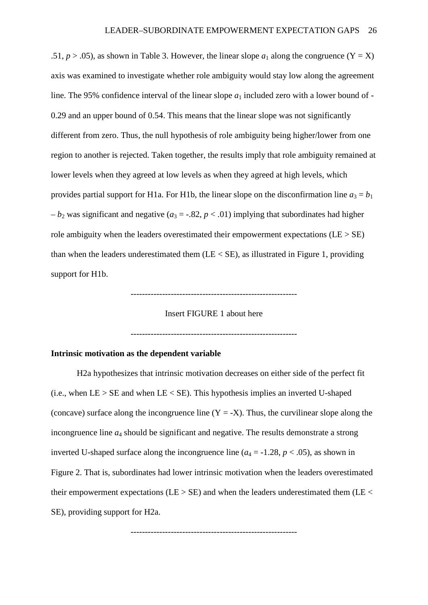.51,  $p > .05$ ), as shown in Table 3. However, the linear slope  $a_1$  along the congruence (Y = X) axis was examined to investigate whether role ambiguity would stay low along the agreement line. The 95% confidence interval of the linear slope  $a_1$  included zero with a lower bound of -0.29 and an upper bound of 0.54. This means that the linear slope was not significantly different from zero. Thus, the null hypothesis of role ambiguity being higher/lower from one region to another is rejected. Taken together, the results imply that role ambiguity remained at lower levels when they agreed at low levels as when they agreed at high levels, which provides partial support for H1a. For H1b, the linear slope on the disconfirmation line  $a_3 = b_1$  $-b_2$  was significant and negative ( $a_3 = -.82$ ,  $p < .01$ ) implying that subordinates had higher role ambiguity when the leaders overestimated their empowerment expectations ( $LE > SE$ ) than when the leaders underestimated them  $(LE < SE)$ , as illustrated in Figure 1, providing support for H1b.



Insert FIGURE 1 about here

----------------------------------------------------------

# **Intrinsic motivation as the dependent variable**

H2a hypothesizes that intrinsic motivation decreases on either side of the perfect fit (i.e., when  $LE > SE$  and when  $LE < SE$ ). This hypothesis implies an inverted U-shaped (concave) surface along the incongruence line  $(Y = -X)$ . Thus, the curvilinear slope along the incongruence line *a*<sup>4</sup> should be significant and negative. The results demonstrate a strong inverted U-shaped surface along the incongruence line  $(a_4 = -1.28, p < .05)$ , as shown in Figure 2. That is, subordinates had lower intrinsic motivation when the leaders overestimated their empowerment expectations (LE  $>$  SE) and when the leaders underestimated them (LE  $<$ SE), providing support for H2a.

----------------------------------------------------------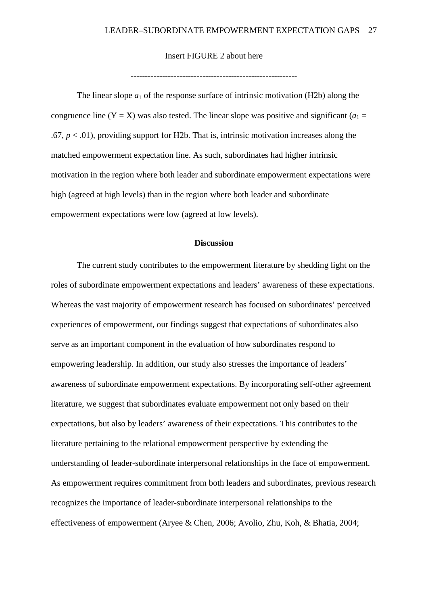## Insert FIGURE 2 about here

----------------------------------------------------------

The linear slope  $a_1$  of the response surface of intrinsic motivation (H2b) along the congruence line  $(Y = X)$  was also tested. The linear slope was positive and significant  $(a_1 =$  $.67, p < .01$ ), providing support for H<sub>2</sub>b. That is, intrinsic motivation increases along the matched empowerment expectation line. As such, subordinates had higher intrinsic motivation in the region where both leader and subordinate empowerment expectations were high (agreed at high levels) than in the region where both leader and subordinate empowerment expectations were low (agreed at low levels).

## **Discussion**

The current study contributes to the empowerment literature by shedding light on the roles of subordinate empowerment expectations and leaders' awareness of these expectations. Whereas the vast majority of empowerment research has focused on subordinates' perceived experiences of empowerment, our findings suggest that expectations of subordinates also serve as an important component in the evaluation of how subordinates respond to empowering leadership. In addition, our study also stresses the importance of leaders' awareness of subordinate empowerment expectations. By incorporating self-other agreement literature, we suggest that subordinates evaluate empowerment not only based on their expectations, but also by leaders' awareness of their expectations. This contributes to the literature pertaining to the relational empowerment perspective by extending the understanding of leader-subordinate interpersonal relationships in the face of empowerment. As empowerment requires commitment from both leaders and subordinates, previous research recognizes the importance of leader-subordinate interpersonal relationships to the effectiveness of empowerment (Aryee & Chen, 2006; Avolio, Zhu, Koh, & Bhatia, 2004;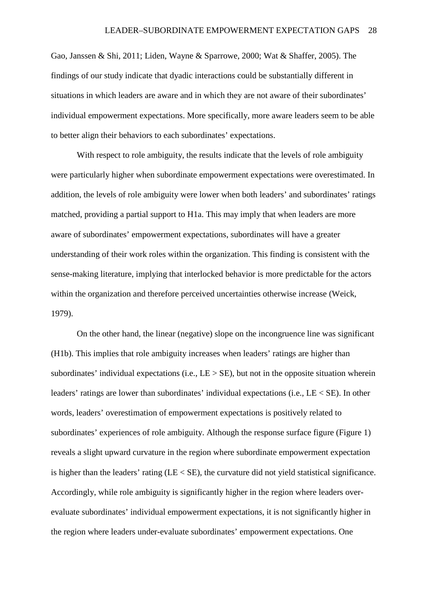Gao, Janssen & Shi, 2011; Liden, Wayne & Sparrowe, 2000; Wat & Shaffer, 2005). The findings of our study indicate that dyadic interactions could be substantially different in situations in which leaders are aware and in which they are not aware of their subordinates' individual empowerment expectations. More specifically, more aware leaders seem to be able to better align their behaviors to each subordinates' expectations.

With respect to role ambiguity, the results indicate that the levels of role ambiguity were particularly higher when subordinate empowerment expectations were overestimated. In addition, the levels of role ambiguity were lower when both leaders' and subordinates' ratings matched, providing a partial support to H1a. This may imply that when leaders are more aware of subordinates' empowerment expectations, subordinates will have a greater understanding of their work roles within the organization. This finding is consistent with the sense-making literature, implying that interlocked behavior is more predictable for the actors within the organization and therefore perceived uncertainties otherwise increase (Weick, 1979).

On the other hand, the linear (negative) slope on the incongruence line was significant (H1b). This implies that role ambiguity increases when leaders' ratings are higher than subordinates' individual expectations (i.e.,  $LE > SE$ ), but not in the opposite situation wherein leaders' ratings are lower than subordinates' individual expectations (i.e., LE < SE). In other words, leaders' overestimation of empowerment expectations is positively related to subordinates' experiences of role ambiguity. Although the response surface figure (Figure 1) reveals a slight upward curvature in the region where subordinate empowerment expectation is higher than the leaders' rating (LE < SE), the curvature did not yield statistical significance. Accordingly, while role ambiguity is significantly higher in the region where leaders overevaluate subordinates' individual empowerment expectations, it is not significantly higher in the region where leaders under-evaluate subordinates' empowerment expectations. One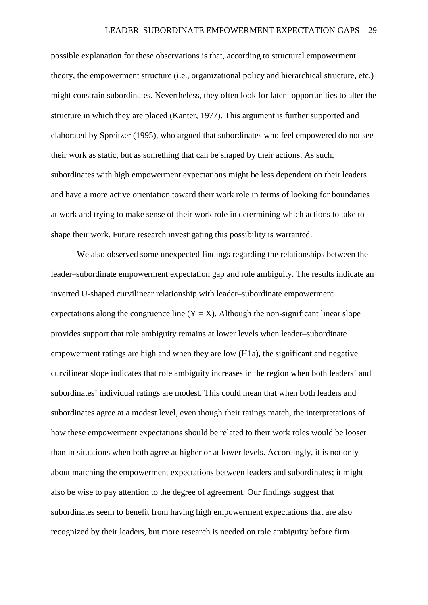possible explanation for these observations is that, according to structural empowerment theory, the empowerment structure (i.e., organizational policy and hierarchical structure, etc.) might constrain subordinates. Nevertheless, they often look for latent opportunities to alter the structure in which they are placed (Kanter, 1977). This argument is further supported and elaborated by Spreitzer (1995), who argued that subordinates who feel empowered do not see their work as static, but as something that can be shaped by their actions. As such, subordinates with high empowerment expectations might be less dependent on their leaders and have a more active orientation toward their work role in terms of looking for boundaries at work and trying to make sense of their work role in determining which actions to take to shape their work. Future research investigating this possibility is warranted.

We also observed some unexpected findings regarding the relationships between the leader–subordinate empowerment expectation gap and role ambiguity. The results indicate an inverted U-shaped curvilinear relationship with leader–subordinate empowerment expectations along the congruence line  $(Y = X)$ . Although the non-significant linear slope provides support that role ambiguity remains at lower levels when leader–subordinate empowerment ratings are high and when they are low (H1a), the significant and negative curvilinear slope indicates that role ambiguity increases in the region when both leaders' and subordinates' individual ratings are modest. This could mean that when both leaders and subordinates agree at a modest level, even though their ratings match, the interpretations of how these empowerment expectations should be related to their work roles would be looser than in situations when both agree at higher or at lower levels. Accordingly, it is not only about matching the empowerment expectations between leaders and subordinates; it might also be wise to pay attention to the degree of agreement. Our findings suggest that subordinates seem to benefit from having high empowerment expectations that are also recognized by their leaders, but more research is needed on role ambiguity before firm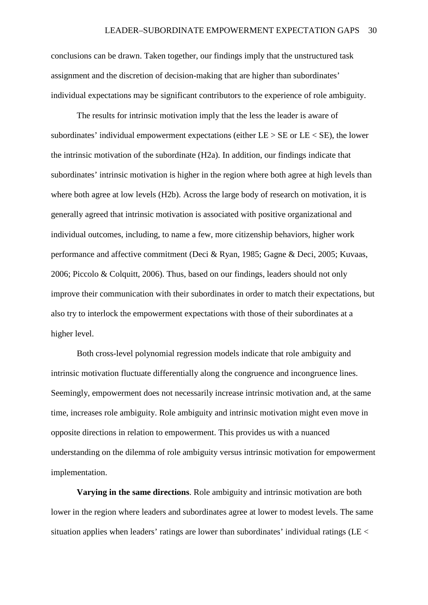conclusions can be drawn. Taken together, our findings imply that the unstructured task assignment and the discretion of decision-making that are higher than subordinates' individual expectations may be significant contributors to the experience of role ambiguity.

The results for intrinsic motivation imply that the less the leader is aware of subordinates' individual empowerment expectations (either  $LE > SE$  or  $LE < SE$ ), the lower the intrinsic motivation of the subordinate (H2a). In addition, our findings indicate that subordinates' intrinsic motivation is higher in the region where both agree at high levels than where both agree at low levels (H2b). Across the large body of research on motivation, it is generally agreed that intrinsic motivation is associated with positive organizational and individual outcomes, including, to name a few, more citizenship behaviors, higher work performance and affective commitment (Deci & Ryan, 1985; Gagne & Deci, 2005; Kuvaas, 2006; Piccolo & Colquitt, 2006). Thus, based on our findings, leaders should not only improve their communication with their subordinates in order to match their expectations, but also try to interlock the empowerment expectations with those of their subordinates at a higher level.

Both cross-level polynomial regression models indicate that role ambiguity and intrinsic motivation fluctuate differentially along the congruence and incongruence lines. Seemingly, empowerment does not necessarily increase intrinsic motivation and, at the same time, increases role ambiguity. Role ambiguity and intrinsic motivation might even move in opposite directions in relation to empowerment. This provides us with a nuanced understanding on the dilemma of role ambiguity versus intrinsic motivation for empowerment implementation.

**Varying in the same directions**. Role ambiguity and intrinsic motivation are both lower in the region where leaders and subordinates agree at lower to modest levels. The same situation applies when leaders' ratings are lower than subordinates' individual ratings ( $LE <$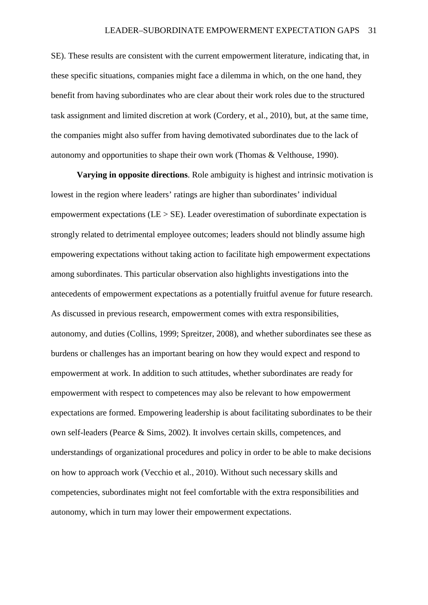SE). These results are consistent with the current empowerment literature, indicating that, in these specific situations, companies might face a dilemma in which, on the one hand, they benefit from having subordinates who are clear about their work roles due to the structured task assignment and limited discretion at work (Cordery, et al., 2010), but, at the same time, the companies might also suffer from having demotivated subordinates due to the lack of autonomy and opportunities to shape their own work (Thomas & Velthouse, 1990).

**Varying in opposite directions**. Role ambiguity is highest and intrinsic motivation is lowest in the region where leaders' ratings are higher than subordinates' individual empowerment expectations ( $LE > SE$ ). Leader overestimation of subordinate expectation is strongly related to detrimental employee outcomes; leaders should not blindly assume high empowering expectations without taking action to facilitate high empowerment expectations among subordinates. This particular observation also highlights investigations into the antecedents of empowerment expectations as a potentially fruitful avenue for future research. As discussed in previous research, empowerment comes with extra responsibilities, autonomy, and duties (Collins, 1999; Spreitzer, 2008), and whether subordinates see these as burdens or challenges has an important bearing on how they would expect and respond to empowerment at work. In addition to such attitudes, whether subordinates are ready for empowerment with respect to competences may also be relevant to how empowerment expectations are formed. Empowering leadership is about facilitating subordinates to be their own self-leaders (Pearce & Sims, 2002). It involves certain skills, competences, and understandings of organizational procedures and policy in order to be able to make decisions on how to approach work (Vecchio et al., 2010). Without such necessary skills and competencies, subordinates might not feel comfortable with the extra responsibilities and autonomy, which in turn may lower their empowerment expectations.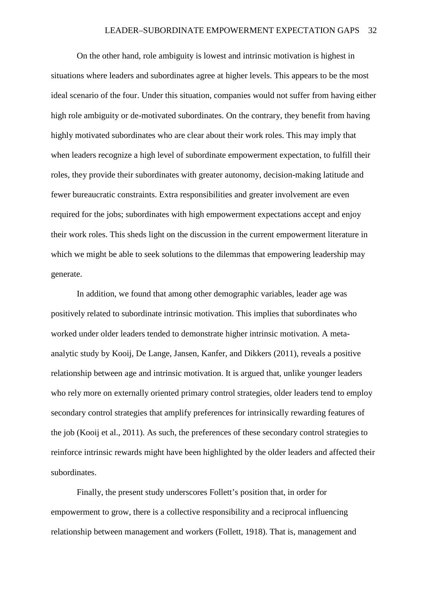On the other hand, role ambiguity is lowest and intrinsic motivation is highest in situations where leaders and subordinates agree at higher levels. This appears to be the most ideal scenario of the four. Under this situation, companies would not suffer from having either high role ambiguity or de-motivated subordinates. On the contrary, they benefit from having highly motivated subordinates who are clear about their work roles. This may imply that when leaders recognize a high level of subordinate empowerment expectation, to fulfill their roles, they provide their subordinates with greater autonomy, decision-making latitude and fewer bureaucratic constraints. Extra responsibilities and greater involvement are even required for the jobs; subordinates with high empowerment expectations accept and enjoy their work roles. This sheds light on the discussion in the current empowerment literature in which we might be able to seek solutions to the dilemmas that empowering leadership may generate.

In addition, we found that among other demographic variables, leader age was positively related to subordinate intrinsic motivation. This implies that subordinates who worked under older leaders tended to demonstrate higher intrinsic motivation. A metaanalytic study by Kooij, De Lange, Jansen, Kanfer, and Dikkers (2011), reveals a positive relationship between age and intrinsic motivation. It is argued that, unlike younger leaders who rely more on externally oriented primary control strategies, older leaders tend to employ secondary control strategies that amplify preferences for intrinsically rewarding features of the job (Kooij et al., 2011). As such, the preferences of these secondary control strategies to reinforce intrinsic rewards might have been highlighted by the older leaders and affected their subordinates.

Finally, the present study underscores Follett's position that, in order for empowerment to grow, there is a collective responsibility and a reciprocal influencing relationship between management and workers (Follett, 1918). That is, management and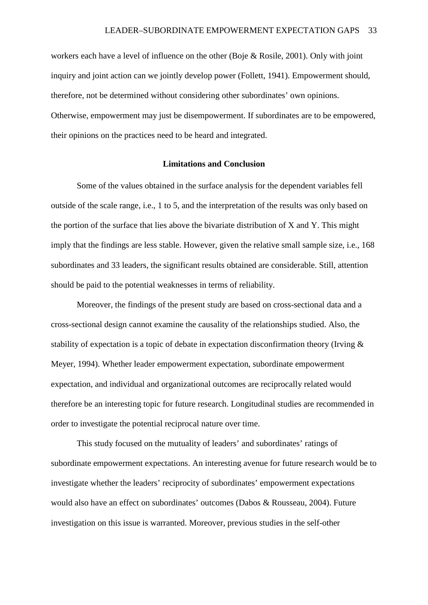workers each have a level of influence on the other (Boje & Rosile, 2001). Only with joint inquiry and joint action can we jointly develop power (Follett, 1941). Empowerment should, therefore, not be determined without considering other subordinates' own opinions. Otherwise, empowerment may just be disempowerment. If subordinates are to be empowered, their opinions on the practices need to be heard and integrated.

### **Limitations and Conclusion**

Some of the values obtained in the surface analysis for the dependent variables fell outside of the scale range, i.e., 1 to 5, and the interpretation of the results was only based on the portion of the surface that lies above the bivariate distribution of X and Y. This might imply that the findings are less stable. However, given the relative small sample size, i.e., 168 subordinates and 33 leaders, the significant results obtained are considerable. Still, attention should be paid to the potential weaknesses in terms of reliability.

Moreover, the findings of the present study are based on cross-sectional data and a cross-sectional design cannot examine the causality of the relationships studied. Also, the stability of expectation is a topic of debate in expectation disconfirmation theory (Irving & Meyer, 1994). Whether leader empowerment expectation, subordinate empowerment expectation, and individual and organizational outcomes are reciprocally related would therefore be an interesting topic for future research. Longitudinal studies are recommended in order to investigate the potential reciprocal nature over time.

This study focused on the mutuality of leaders' and subordinates' ratings of subordinate empowerment expectations. An interesting avenue for future research would be to investigate whether the leaders' reciprocity of subordinates' empowerment expectations would also have an effect on subordinates' outcomes (Dabos & Rousseau, 2004). Future investigation on this issue is warranted. Moreover, previous studies in the self-other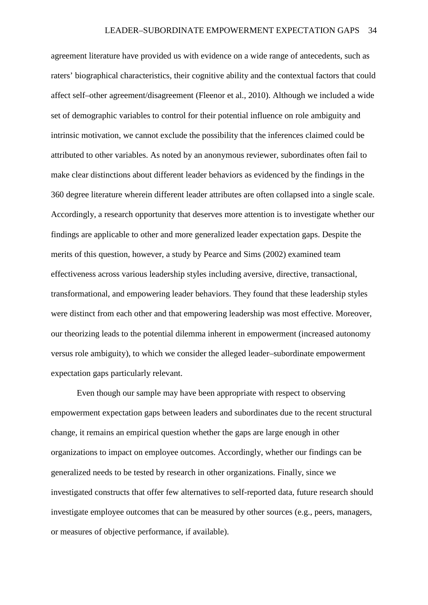agreement literature have provided us with evidence on a wide range of antecedents, such as raters' biographical characteristics, their cognitive ability and the contextual factors that could affect self–other agreement/disagreement (Fleenor et al., 2010). Although we included a wide set of demographic variables to control for their potential influence on role ambiguity and intrinsic motivation, we cannot exclude the possibility that the inferences claimed could be attributed to other variables. As noted by an anonymous reviewer, subordinates often fail to make clear distinctions about different leader behaviors as evidenced by the findings in the 360 degree literature wherein different leader attributes are often collapsed into a single scale. Accordingly, a research opportunity that deserves more attention is to investigate whether our findings are applicable to other and more generalized leader expectation gaps. Despite the merits of this question, however, a study by Pearce and Sims (2002) examined team effectiveness across various leadership styles including aversive, directive, transactional, transformational, and empowering leader behaviors. They found that these leadership styles were distinct from each other and that empowering leadership was most effective. Moreover, our theorizing leads to the potential dilemma inherent in empowerment (increased autonomy versus role ambiguity), to which we consider the alleged leader–subordinate empowerment expectation gaps particularly relevant.

Even though our sample may have been appropriate with respect to observing empowerment expectation gaps between leaders and subordinates due to the recent structural change, it remains an empirical question whether the gaps are large enough in other organizations to impact on employee outcomes. Accordingly, whether our findings can be generalized needs to be tested by research in other organizations. Finally, since we investigated constructs that offer few alternatives to self-reported data, future research should investigate employee outcomes that can be measured by other sources (e.g., peers, managers, or measures of objective performance, if available).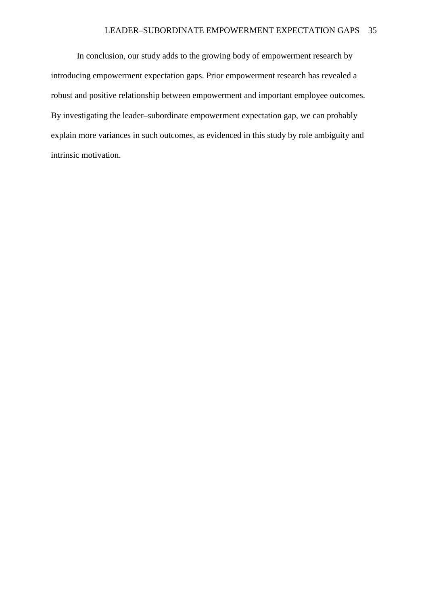### LEADER–SUBORDINATE EMPOWERMENT EXPECTATION GAPS 35

In conclusion, our study adds to the growing body of empowerment research by introducing empowerment expectation gaps. Prior empowerment research has revealed a robust and positive relationship between empowerment and important employee outcomes. By investigating the leader–subordinate empowerment expectation gap, we can probably explain more variances in such outcomes, as evidenced in this study by role ambiguity and intrinsic motivation.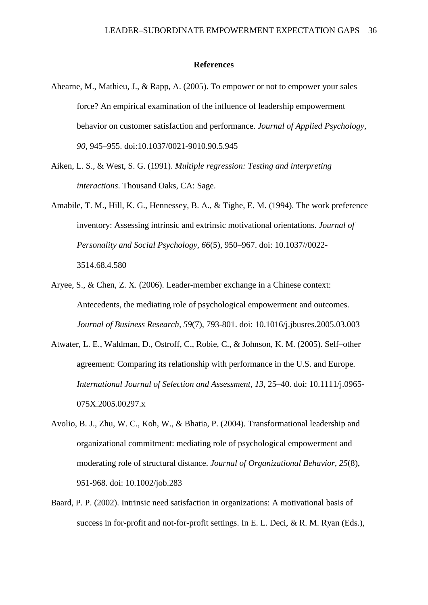#### **References**

- Ahearne, M., Mathieu, J., & Rapp, A. (2005). To empower or not to empower your sales force? An empirical examination of the influence of leadership empowerment behavior on customer satisfaction and performance. *Journal of Applied Psychology, 90*, 945–955. doi:10.1037/0021-9010.90.5.945
- Aiken, L. S., & West, S. G. (1991). *Multiple regression: Testing and interpreting interactions*. Thousand Oaks, CA: Sage.
- Amabile, T. M., Hill, K. G., Hennessey, B. A., & Tighe, E. M. (1994). The work preference inventory: Assessing intrinsic and extrinsic motivational orientations. *Journal of Personality and Social Psychology*, *66*(5), 950–967. doi: 10.1037//0022- 3514.68.4.580
- Aryee, S., & Chen, Z. X. (2006). Leader-member exchange in a Chinese context: Antecedents, the mediating role of psychological empowerment and outcomes. *Journal of Business Research, 59*(7), 793-801. doi: 10.1016/j.jbusres.2005.03.003
- Atwater, L. E., Waldman, D., Ostroff, C., Robie, C., & Johnson, K. M. (2005). Self–other agreement: Comparing its relationship with performance in the U.S. and Europe. *International Journal of Selection and Assessment, 13*, 25–40. doi: 10.1111/j.0965- 075X.2005.00297.x
- Avolio, B. J., Zhu, W. C., Koh, W., & Bhatia, P. (2004). Transformational leadership and organizational commitment: mediating role of psychological empowerment and moderating role of structural distance. *Journal of Organizational Behavior, 25*(8), 951-968. doi: 10.1002/job.283
- Baard, P. P. (2002). Intrinsic need satisfaction in organizations: A motivational basis of success in for-profit and not-for-profit settings. In E. L. Deci, & R. M. Ryan (Eds.),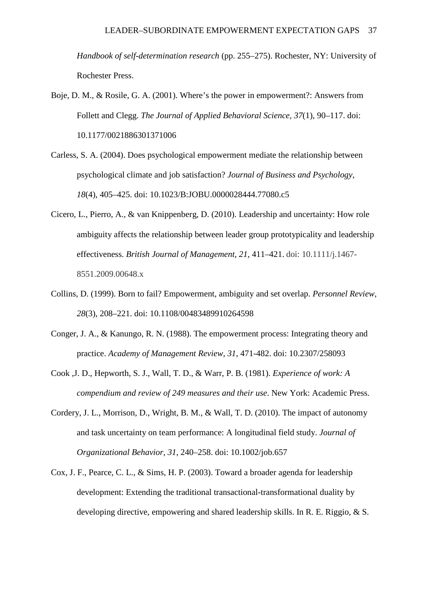*Handbook of self-determination research* (pp. 255–275). Rochester, NY: University of Rochester Press.

- Boje, D. M., & Rosile, G. A. (2001). Where's the power in empowerment?: Answers from Follett and Clegg. *The Journal of Applied Behavioral Science, 37*(1), 90–117. doi: 10.1177/0021886301371006
- Carless, S. A. (2004). Does psychological empowerment mediate the relationship between psychological climate and job satisfaction? *Journal of Business and Psychology*, *18*(4), 405–425. doi: 10.1023/B:JOBU.0000028444.77080.c5
- Cicero, L., Pierro, A., & van Knippenberg, D. (2010). Leadership and uncertainty: How role ambiguity affects the relationship between leader group prototypicality and leadership effectiveness. *British Journal of Management, 21*, 411–421. doi: 10.1111/j.1467- 8551.2009.00648.x
- Collins, D. (1999). Born to fail? Empowerment, ambiguity and set overlap. *Personnel Review, 28*(3), 208–221. doi: 10.1108/00483489910264598
- Conger, J. A., & Kanungo, R. N. (1988). The empowerment process: Integrating theory and practice. *Academy of Management Review, 31*, 471-482. doi: 10.2307/258093
- Cook ,J. D., Hepworth, S. J., Wall, T. D., & Warr, P. B. (1981). *Experience of work: A compendium and review of 249 measures and their use*. New York: Academic Press.
- Cordery, J. L., Morrison, D., Wright, B. M., & Wall, T. D. (2010). The impact of autonomy and task uncertainty on team performance: A longitudinal field study. *Journal of Organizational Behavior, 31*, 240–258. doi: 10.1002/job.657
- Cox, J. F., Pearce, C. L., & Sims, H. P. (2003). Toward a broader agenda for leadership development: Extending the traditional transactional-transformational duality by developing directive, empowering and shared leadership skills. In R. E. Riggio, & S.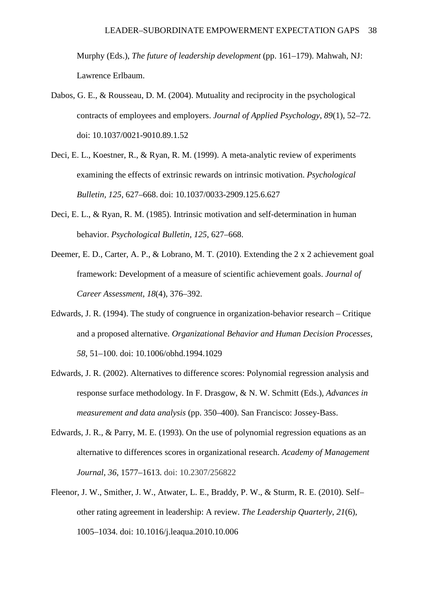Murphy (Eds.), *The future of leadership development* (pp. 161–179). Mahwah, NJ: Lawrence Erlbaum.

- Dabos, G. E., & Rousseau, D. M. (2004). Mutuality and reciprocity in the psychological contracts of employees and employers. *Journal of Applied Psychology*, *89*(1), 52–72. doi: 10.1037/0021-9010.89.1.52
- Deci, E. L., Koestner, R., & Ryan, R. M. (1999). A meta-analytic review of experiments examining the effects of extrinsic rewards on intrinsic motivation. *Psychological Bulletin, 125*, 627–668. doi: 10.1037/0033-2909.125.6.627
- Deci, E. L., & Ryan, R. M. (1985). Intrinsic motivation and self-determination in human behavior. *Psychological Bulletin, 125*, 627–668.
- Deemer, E. D., Carter, A. P., & Lobrano, M. T. (2010). Extending the 2 x 2 achievement goal framework: Development of a measure of scientific achievement goals. *Journal of Career Assessment*, *18*(4), 376–392.
- Edwards, J. R. (1994). The study of congruence in organization-behavior research Critique and a proposed alternative. *Organizational Behavior and Human Decision Processes*, *58*, 51–100. doi: 10.1006/obhd.1994.1029
- Edwards, J. R. (2002). Alternatives to difference scores: Polynomial regression analysis and response surface methodology. In F. Drasgow, & N. W. Schmitt (Eds.), *Advances in measurement and data analysis* (pp. 350–400). San Francisco: Jossey-Bass.
- Edwards, J. R., & Parry, M. E. (1993). On the use of polynomial regression equations as an alternative to differences scores in organizational research. *Academy of Management Journal, 36*, 1577–1613. doi: 10.2307/256822
- Fleenor, J. W., Smither, J. W., Atwater, L. E., Braddy, P. W., & Sturm, R. E. (2010). Self– other rating agreement in leadership: A review. *The Leadership Quarterly*, *21*(6), 1005–1034. doi: 10.1016/j.leaqua.2010.10.006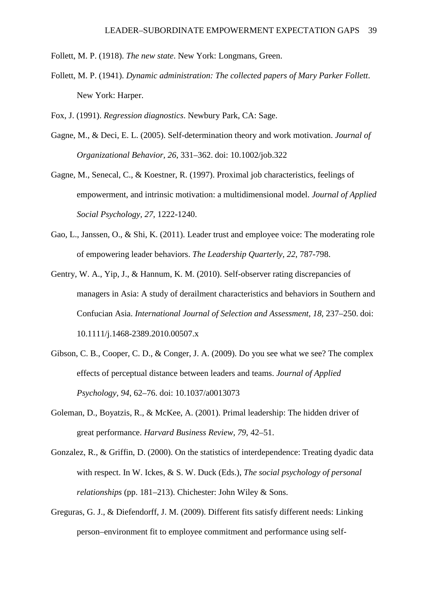Follett, M. P. (1918). *The new state*. New York: Longmans, Green.

Follett, M. P. (1941). *Dynamic administration: The collected papers of Mary Parker Follett*. New York: Harper.

Fox, J. (1991). *Regression diagnostics*. Newbury Park, CA: Sage.

- Gagne, M., & Deci, E. L. (2005). Self-determination theory and work motivation. *Journal of Organizational Behavior, 26*, 331–362. doi: 10.1002/job.322
- Gagne, M., Senecal, C., & Koestner, R. (1997). Proximal job characteristics, feelings of empowerment, and intrinsic motivation: a multidimensional model. *Journal of Applied Social Psychology, 27*, 1222-1240.
- Gao, L., Janssen, O., & Shi, K. (2011). Leader trust and employee voice: The moderating role of empowering leader behaviors. *The Leadership Quarterly, 22*, 787-798.
- Gentry, W. A., Yip, J., & Hannum, K. M. (2010). Self-observer rating discrepancies of managers in Asia: A study of derailment characteristics and behaviors in Southern and Confucian Asia. *International Journal of Selection and Assessment, 18*, 237–250. doi: 10.1111/j.1468-2389.2010.00507.x
- Gibson, C. B., Cooper, C. D., & Conger, J. A. (2009). Do you see what we see? The complex effects of perceptual distance between leaders and teams. *Journal of Applied Psychology, 94*, 62–76. doi: 10.1037/a0013073
- Goleman, D., Boyatzis, R., & McKee, A. (2001). Primal leadership: The hidden driver of great performance. *Harvard Business Review, 79*, 42–51.
- Gonzalez, R., & Griffin, D. (2000). On the statistics of interdependence: Treating dyadic data with respect. In W. Ickes, & S. W. Duck (Eds.), *The social psychology of personal relationships* (pp. 181–213). Chichester: John Wiley & Sons.
- Greguras, G. J., & Diefendorff, J. M. (2009). Different fits satisfy different needs: Linking person–environment fit to employee commitment and performance using self-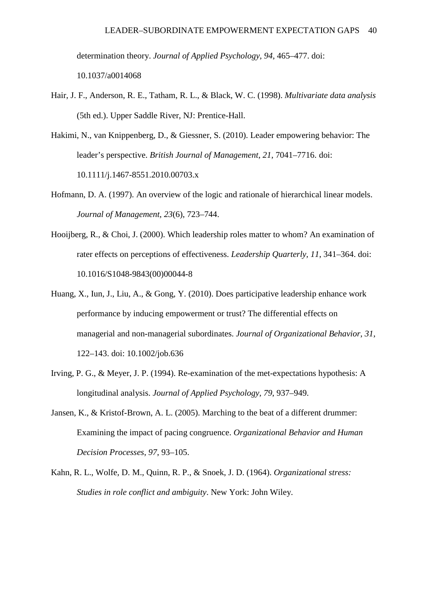determination theory. *Journal of Applied Psychology, 94*, 465–477. doi: 10.1037/a0014068

- Hair, J. F., Anderson, R. E., Tatham, R. L., & Black, W. C. (1998). *Multivariate data analysis* (5th ed.). Upper Saddle River, NJ: Prentice-Hall.
- Hakimi, N., van Knippenberg, D., & Giessner, S. (2010). Leader empowering behavior: The leader's perspective. *British Journal of Management*, *21*, 7041–7716. doi: 10.1111/j.1467-8551.2010.00703.x
- Hofmann, D. A. (1997). An overview of the logic and rationale of hierarchical linear models. *Journal of Management*, *23*(6), 723–744.
- Hooijberg, R., & Choi, J. (2000). Which leadership roles matter to whom? An examination of rater effects on perceptions of effectiveness. *Leadership Quarterly, 11*, 341–364. doi: 10.1016/S1048-9843(00)00044-8
- Huang, X., Iun, J., Liu, A., & Gong, Y. (2010). Does participative leadership enhance work performance by inducing empowerment or trust? The differential effects on managerial and non-managerial subordinates. *Journal of Organizational Behavior*, *31*, 122–143. doi: 10.1002/job.636
- Irving, P. G., & Meyer, J. P. (1994). Re-examination of the met-expectations hypothesis: A longitudinal analysis. *Journal of Applied Psychology, 79*, 937–949.
- Jansen, K., & Kristof-Brown, A. L. (2005). Marching to the beat of a different drummer: Examining the impact of pacing congruence. *Organizational Behavior and Human Decision Processes*, *97*, 93–105.
- Kahn, R. L., Wolfe, D. M., Quinn, R. P., & Snoek, J. D. (1964). *Organizational stress: Studies in role conflict and ambiguity*. New York: John Wiley.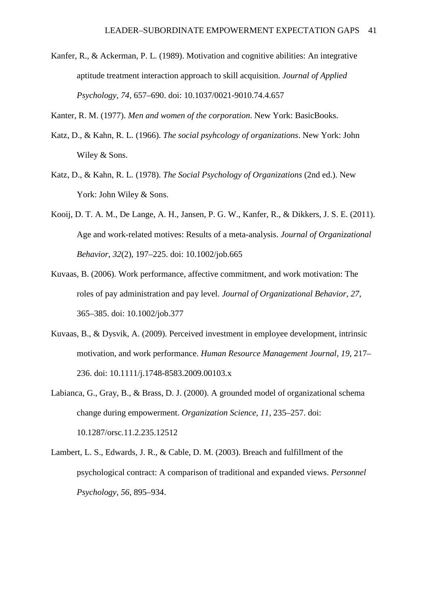Kanfer, R., & Ackerman, P. L. (1989). Motivation and cognitive abilities: An integrative aptitude treatment interaction approach to skill acquisition. *Journal of Applied Psychology, 74*, 657–690. doi: 10.1037/0021-9010.74.4.657

Kanter, R. M. (1977). *Men and women of the corporation*. New York: BasicBooks.

- Katz, D., & Kahn, R. L. (1966). *The social psyhcology of organizations*. New York: John Wiley & Sons.
- Katz, D., & Kahn, R. L. (1978). *The Social Psychology of Organizations* (2nd ed.). New York: John Wiley & Sons.
- Kooij, D. T. A. M., De Lange, A. H., Jansen, P. G. W., Kanfer, R., & Dikkers, J. S. E. (2011). Age and work-related motives: Results of a meta-analysis. *Journal of Organizational Behavior*, *32*(2), 197–225. doi: 10.1002/job.665
- Kuvaas, B. (2006). Work performance, affective commitment, and work motivation: The roles of pay administration and pay level. *Journal of Organizational Behavior*, *27*, 365–385. doi: 10.1002/job.377
- Kuvaas, B., & Dysvik, A. (2009). Perceived investment in employee development, intrinsic motivation, and work performance. *Human Resource Management Journal, 19*, 217– 236. doi: 10.1111/j.1748-8583.2009.00103.x
- Labianca, G., Gray, B., & Brass, D. J. (2000). A grounded model of organizational schema change during empowerment. *Organization Science, 11*, 235–257. doi: 10.1287/orsc.11.2.235.12512
- Lambert, L. S., Edwards, J. R., & Cable, D. M. (2003). Breach and fulfillment of the psychological contract: A comparison of traditional and expanded views. *Personnel Psychology*, *56*, 895–934.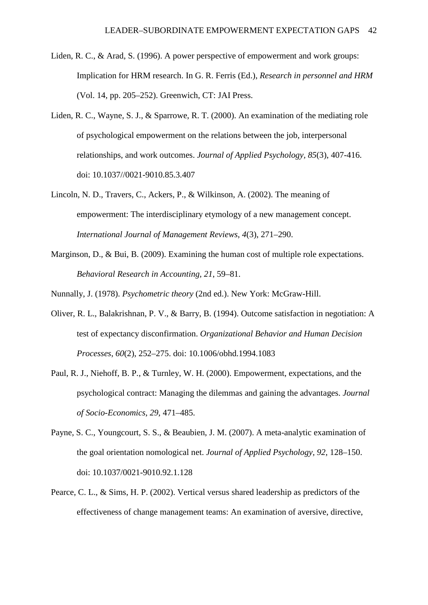- Liden, R. C., & Arad, S. (1996). A power perspective of empowerment and work groups: Implication for HRM research. In G. R. Ferris (Ed.), *Research in personnel and HRM* (Vol. 14, pp. 205–252). Greenwich, CT: JAI Press.
- Liden, R. C., Wayne, S. J., & Sparrowe, R. T. (2000). An examination of the mediating role of psychological empowerment on the relations between the job, interpersonal relationships, and work outcomes. *Journal of Applied Psychology, 85*(3), 407-416. doi: 10.1037//0021-9010.85.3.407
- Lincoln, N. D., Travers, C., Ackers, P., & Wilkinson, A. (2002). The meaning of empowerment: The interdisciplinary etymology of a new management concept. *International Journal of Management Reviews*, *4*(3), 271–290.
- Marginson, D., & Bui, B. (2009). Examining the human cost of multiple role expectations. *Behavioral Research in Accounting, 21*, 59–81.

Nunnally, J. (1978). *Psychometric theory* (2nd ed.). New York: McGraw-Hill.

- Oliver, R. L., Balakrishnan, P. V., & Barry, B. (1994). Outcome satisfaction in negotiation: A test of expectancy disconfirmation. *Organizational Behavior and Human Decision Processes*, *60*(2), 252–275. doi: 10.1006/obhd.1994.1083
- Paul, R. J., Niehoff, B. P., & Turnley, W. H. (2000). Empowerment, expectations, and the psychological contract: Managing the dilemmas and gaining the advantages. *Journal of Socio-Economics*, *29*, 471–485.
- Payne, S. C., Youngcourt, S. S., & Beaubien, J. M. (2007). A meta-analytic examination of the goal orientation nomological net. *Journal of Applied Psychology, 92*, 128–150. doi: 10.1037/0021-9010.92.1.128
- Pearce, C. L., & Sims, H. P. (2002). Vertical versus shared leadership as predictors of the effectiveness of change management teams: An examination of aversive, directive,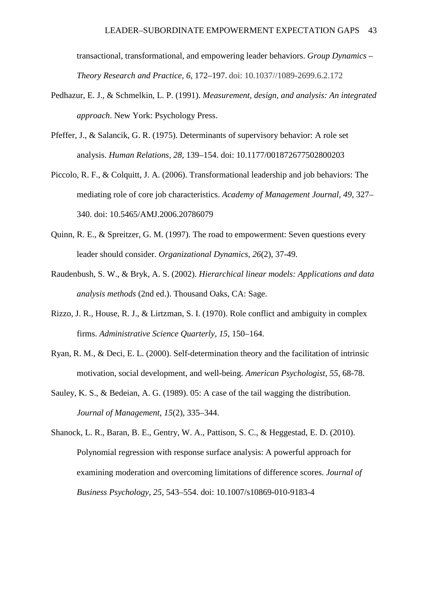transactional, transformational, and empowering leader behaviors. *Group Dynamics – Theory Research and Practice, 6*, 172–197. doi: 10.1037//1089-2699.6.2.172

- Pedhazur, E. J., & Schmelkin, L. P. (1991). *Measurement, design, and analysis: An integrated approach*. New York: Psychology Press.
- Pfeffer, J., & Salancik, G. R. (1975). Determinants of supervisory behavior: A role set analysis. *Human Relations, 28*, 139–154. doi: 10.1177/001872677502800203
- Piccolo, R. F., & Colquitt, J. A. (2006). Transformational leadership and job behaviors: The mediating role of core job characteristics. *Academy of Management Journal*, *49*, 327– 340. doi: 10.5465/AMJ.2006.20786079
- Quinn, R. E., & Spreitzer, G. M. (1997). The road to empowerment: Seven questions every leader should consider. *Organizational Dynamics, 26*(2), 37-49.
- Raudenbush, S. W., & Bryk, A. S. (2002). *Hierarchical linear models: Applications and data analysis methods* (2nd ed.). Thousand Oaks, CA: Sage.
- Rizzo, J. R., House, R. J., & Lirtzman, S. I. (1970). Role conflict and ambiguity in complex firms. *Administrative Science Quarterly, 15*, 150–164.
- Ryan, R. M., & Deci, E. L. (2000). Self-determination theory and the facilitation of intrinsic motivation, social development, and well-being. *American Psychologist, 55*, 68-78.
- Sauley, K. S., & Bedeian, A. G. (1989). 05: A case of the tail wagging the distribution. *Journal of Management*, *15*(2), 335–344.
- Shanock, L. R., Baran, B. E., Gentry, W. A., Pattison, S. C., & Heggestad, E. D. (2010). Polynomial regression with response surface analysis: A powerful approach for examining moderation and overcoming limitations of difference scores. *Journal of Business Psychology, 25*, 543–554. doi: 10.1007/s10869-010-9183-4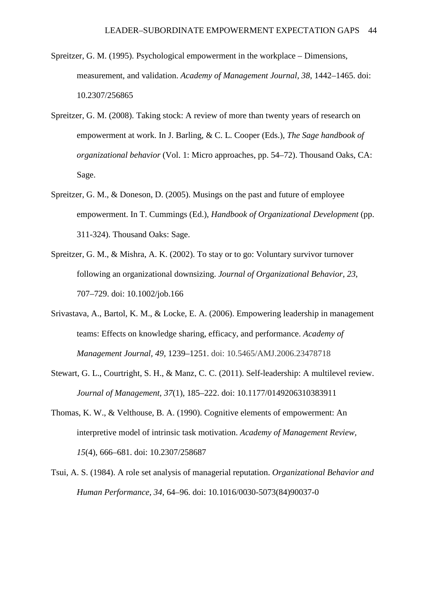- Spreitzer, G. M. (1995). Psychological empowerment in the workplace Dimensions, measurement, and validation. *Academy of Management Journal, 38*, 1442–1465. doi: 10.2307/256865
- Spreitzer, G. M. (2008). Taking stock: A review of more than twenty years of research on empowerment at work. In J. Barling, & C. L. Cooper (Eds.), *The Sage handbook of organizational behavior* (Vol. 1: Micro approaches, pp. 54–72). Thousand Oaks, CA: Sage.
- Spreitzer, G. M., & Doneson, D. (2005). Musings on the past and future of employee empowerment. In T. Cummings (Ed.), *Handbook of Organizational Development* (pp. 311-324). Thousand Oaks: Sage.
- Spreitzer, G. M., & Mishra, A. K. (2002). To stay or to go: Voluntary survivor turnover following an organizational downsizing. *Journal of Organizational Behavior, 23*, 707–729. doi: 10.1002/job.166
- Srivastava, A., Bartol, K. M., & Locke, E. A. (2006). Empowering leadership in management teams: Effects on knowledge sharing, efficacy, and performance. *Academy of Management Journal, 49*, 1239–1251. doi: 10.5465/AMJ.2006.23478718
- Stewart, G. L., Courtright, S. H., & Manz, C. C. (2011). Self-leadership: A multilevel review. *Journal of Management, 37*(1), 185–222. doi: 10.1177/0149206310383911
- Thomas, K. W., & Velthouse, B. A. (1990). Cognitive elements of empowerment: An interpretive model of intrinsic task motivation. *Academy of Management Review, 15*(4), 666–681. doi: 10.2307/258687
- Tsui, A. S. (1984). A role set analysis of managerial reputation. *Organizational Behavior and Human Performance, 34*, 64–96. doi: 10.1016/0030-5073(84)90037-0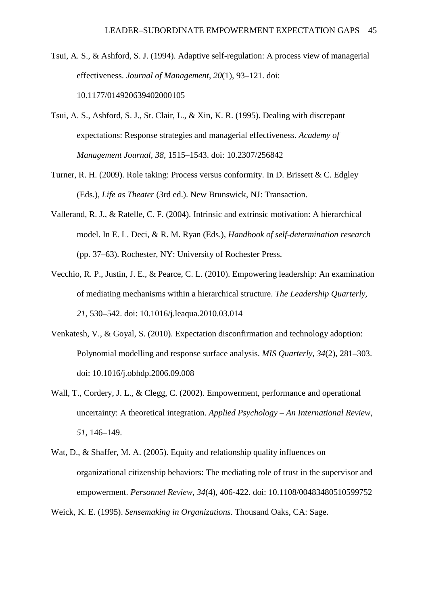Tsui, A. S., & Ashford, S. J. (1994). Adaptive self-regulation: A process view of managerial effectiveness. *Journal of Management*, *20*(1), 93–121. doi: 10.1177/014920639402000105

- Tsui, A. S., Ashford, S. J., St. Clair, L., & Xin, K. R. (1995). Dealing with discrepant expectations: Response strategies and managerial effectiveness. *Academy of Management Journal, 38*, 1515–1543. doi: 10.2307/256842
- Turner, R. H. (2009). Role taking: Process versus conformity. In D. Brissett & C. Edgley (Eds.), *Life as Theater* (3rd ed.). New Brunswick, NJ: Transaction.
- Vallerand, R. J., & Ratelle, C. F. (2004). Intrinsic and extrinsic motivation: A hierarchical model. In E. L. Deci, & R. M. Ryan (Eds.), *Handbook of self-determination research* (pp. 37–63). Rochester, NY: University of Rochester Press.
- Vecchio, R. P., Justin, J. E., & Pearce, C. L. (2010). Empowering leadership: An examination of mediating mechanisms within a hierarchical structure. *The Leadership Quarterly, 21*, 530–542. doi: 10.1016/j.leaqua.2010.03.014
- Venkatesh, V., & Goyal, S. (2010). Expectation disconfirmation and technology adoption: Polynomial modelling and response surface analysis. *MIS Quarterly*, *34*(2), 281–303. doi: 10.1016/j.obhdp.2006.09.008
- Wall, T., Cordery, J. L., & Clegg, C. (2002). Empowerment, performance and operational uncertainty: A theoretical integration. *Applied Psychology – An International Review*, *51*, 146–149.
- Wat, D., & Shaffer, M. A. (2005). Equity and relationship quality influences on organizational citizenship behaviors: The mediating role of trust in the supervisor and empowerment. *Personnel Review, 34*(4), 406-422. doi: 10.1108/00483480510599752

Weick, K. E. (1995). *Sensemaking in Organizations*. Thousand Oaks, CA: Sage.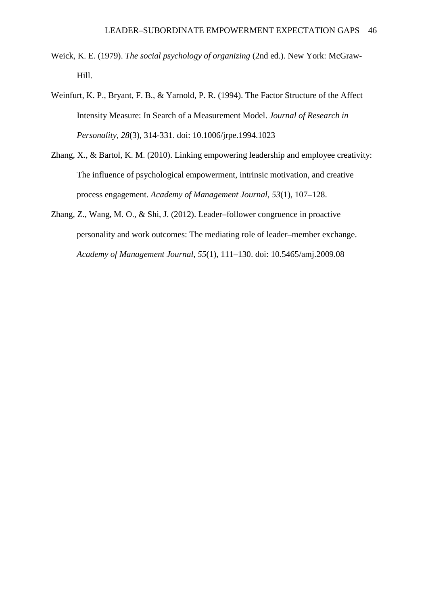- Weick, K. E. (1979). *The social psychology of organizing* (2nd ed.). New York: McGraw-Hill.
- Weinfurt, K. P., Bryant, F. B., & Yarnold, P. R. (1994). The Factor Structure of the Affect Intensity Measure: In Search of a Measurement Model. *Journal of Research in Personality, 28*(3), 314-331. doi: 10.1006/jrpe.1994.1023
- Zhang, X., & Bartol, K. M. (2010). Linking empowering leadership and employee creativity: The influence of psychological empowerment, intrinsic motivation, and creative process engagement. *Academy of Management Journal*, *53*(1), 107–128.
- Zhang, Z., Wang, M. O., & Shi, J. (2012). Leader–follower congruence in proactive personality and work outcomes: The mediating role of leader–member exchange. *Academy of Management Journal*, *55*(1), 111–130. doi: 10.5465/amj.2009.08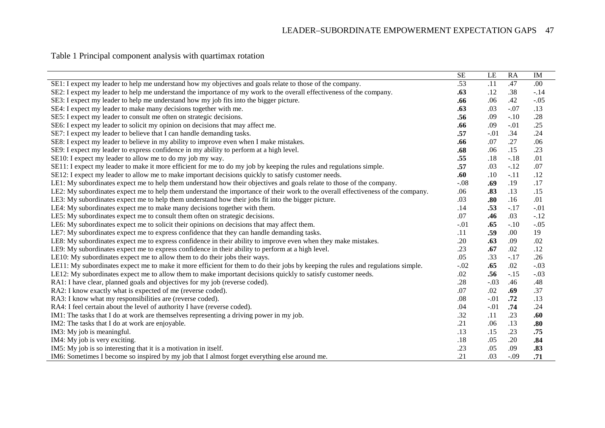Table 1 Principal component analysis with quartimax rotation

|                                                                                                                                  | <b>SE</b> | LE     | <b>RA</b> | IM     |
|----------------------------------------------------------------------------------------------------------------------------------|-----------|--------|-----------|--------|
| SE1: I expect my leader to help me understand how my objectives and goals relate to those of the company.                        | .53       | .11    | .47       | .00    |
| SE2: I expect my leader to help me understand the importance of my work to the overall effectiveness of the company.             | .63       | .12    | .38       | $-.14$ |
| SE3: I expect my leader to help me understand how my job fits into the bigger picture.                                           | .66       | .06    | .42       | $-.05$ |
| SE4: I expect my leader to make many decisions together with me.                                                                 | .63       | .03    | $-.07$    | .13    |
| SE5: I expect my leader to consult me often on strategic decisions.                                                              | .56       | .09    | $-.10$    | .28    |
| SE6: I expect my leader to solicit my opinion on decisions that may affect me.                                                   | .66       | .09    | $-.01$    | .25    |
| SE7: I expect my leader to believe that I can handle demanding tasks.                                                            | .57       | $-.01$ | .34       | .24    |
| SE8: I expect my leader to believe in my ability to improve even when I make mistakes.                                           | .66       | .07    | .27       | .06    |
| SE9: I expect my leader to express confidence in my ability to perform at a high level.                                          | .68       | .06    | .15       | .23    |
| SE10: I expect my leader to allow me to do my job my way.                                                                        | .55       | .18    | $-.18$    | .01    |
| SE11: I expect my leader to make it more efficient for me to do my job by keeping the rules and regulations simple.              | .57       | .03    | $-.12$    | .07    |
| SE12: I expect my leader to allow me to make important decisions quickly to satisfy customer needs.                              | .60       | .10    | $-.11$    | .12    |
| LE1: My subordinates expect me to help them understand how their objectives and goals relate to those of the company.            | $-.08$    | .69    | .19       | .17    |
| LE2: My subordinates expect me to help them understand the importance of their work to the overall effectiveness of the company. | .06       | .83    | .13       | .15    |
| LE3: My subordinates expect me to help them understand how their jobs fit into the bigger picture.                               | .03       | .80    | .16       | .01    |
| LE4: My subordinates expect me to make many decisions together with them.                                                        | .14       | .53    | $-.17$    | $-.01$ |
| LE5: My subordinates expect me to consult them often on strategic decisions.                                                     | .07       | .46    | .03       | $-.12$ |
| LE6: My subordinates expect me to solicit their opinions on decisions that may affect them.                                      | $-.01$    | .65    | $-.10$    | $-.05$ |
| LE7: My subordinates expect me to express confidence that they can handle demanding tasks.                                       | .11       | .59    | .00.      | 19     |
| LE8: My subordinates expect me to express confidence in their ability to improve even when they make mistakes.                   | .20       | .63    | .09       | .02    |
| LE9: My subordinates expect me to express confidence in their ability to perform at a high level.                                | .23       | .67    | .02       | .12    |
| LE10: My subordinates expect me to allow them to do their jobs their ways.                                                       | .05       | .33    | $-.17$    | .26    |
| LE11: My subordinates expect me to make it more efficient for them to do their jobs by keeping the rules and regulations simple. | $-.02$    | .65    | .02       | $-.03$ |
| LE12: My subordinates expect me to allow them to make important decisions quickly to satisfy customer needs.                     | .02       | .56    | $-.15$    | $-.03$ |
| RA1: I have clear, planned goals and objectives for my job (reverse coded).                                                      | .28       | $-.03$ | .46       | .48    |
| RA2: I know exactly what is expected of me (reverse coded).                                                                      | .07       | .02    | .69       | .37    |
| RA3: I know what my responsibilities are (reverse coded).                                                                        | .08       | $-.01$ | .72       | .13    |
| RA4: I feel certain about the level of authority I have (reverse coded).                                                         | .04       | $-.01$ | .74       | .24    |
| IM1: The tasks that I do at work are themselves representing a driving power in my job.                                          | .32       | .11    | .23       | .60    |
| IM2: The tasks that I do at work are enjoyable.                                                                                  | .21       | .06    | .13       | .80    |
| IM3: My job is meaningful.                                                                                                       | .13       | .15    | .23       | .75    |
| IM4: My job is very exciting.                                                                                                    | .18       | .05    | .20       | .84    |
| IM5: My job is so interesting that it is a motivation in itself.                                                                 | .23       | .05    | .09       | .83    |
| IM6: Sometimes I become so inspired by my job that I almost forget everything else around me.                                    | .21       | .03    | $-.09$    | .71    |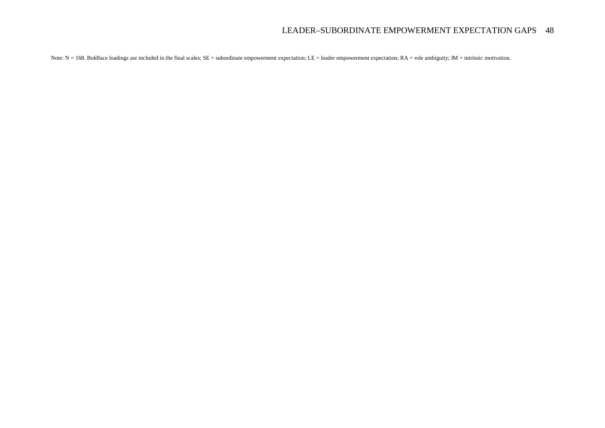Note: N = 168. Boldface loadings are included in the final scales; SE = subordinate empowerment expectation; LE = leader empowerment expectation; RA = role ambiguity; IM = intrinsic motivation.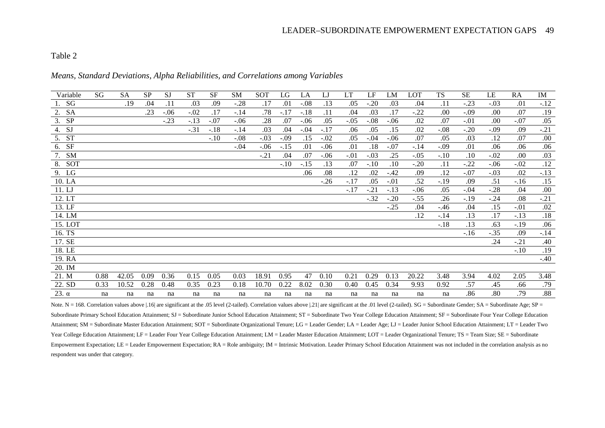# Table 2

#### *Means, Standard Deviations, Alpha Reliabilities, and Correlations among Variables*

| Variable        | SG   | <b>SA</b> | <b>SP</b> | <b>SJ</b> | <b>ST</b> | <b>SF</b> | <b>SM</b> | <b>SOT</b> | LG     | LA     | LJ     | <b>LT</b> | LF     | LM     | <b>LOT</b> | <b>TS</b> | <b>SE</b> | LE     | <b>RA</b> | IM     |
|-----------------|------|-----------|-----------|-----------|-----------|-----------|-----------|------------|--------|--------|--------|-----------|--------|--------|------------|-----------|-----------|--------|-----------|--------|
| 1. SG           |      | .19       | .04       | .11       | .03       | .09       | $-.28$    | .17        | .01    | $-.08$ | .13    | .05       | $-.20$ | .03    | .04        | .11       | $-.23$    | $-.03$ | .01       | $-.12$ |
| <b>SA</b><br>2. |      |           | .23       | $-.06$    | $-.02$    | .17       | $-.14$    | .78        | $-.17$ | $-.18$ | .11    | .04       | .03    | .17    | $-.22$     | .00.      | $-.09$    | .00    | .07       | .19    |
| <b>SP</b><br>3. |      |           |           | $-.23$    | $-.13$    | $-.07$    | $-.06$    | .28        | .07    | $-.06$ | .05    | $-.05$    | $-.08$ | $-.06$ | .02        | .07       | $-.01$    | .00    | $-.07$    | .05    |
| 4. SJ           |      |           |           |           | $-.31$    | $-.18$    | $-.14$    | .03        | .04    | $-.04$ | $-.17$ | .06       | .05    | .15    | .02        | $-.08$    | $-.20$    | $-.09$ | .09       | $-.21$ |
| 5. ST           |      |           |           |           |           | $-.10$    | $-.08$    | $-.03$     | $-.09$ | .15    | $-.02$ | .05       | $-.04$ | $-.06$ | .07        | .05       | .03       | .12    | .07       | .00    |
| SF<br>6.        |      |           |           |           |           |           | $-.04$    | $-.06$     | $-.15$ | .01    | $-.06$ | .01       | .18    | $-.07$ | $-.14$     | $-.09$    | .01       | .06    | .06       | .06    |
| <b>SM</b><br>7. |      |           |           |           |           |           |           | $-.21$     | .04    | .07    | $-.06$ | $-.01$    | $-.03$ | .25    | $-.05$     | $-.10$    | .10       | $-.02$ | .00       | .03    |
| 8. SOT          |      |           |           |           |           |           |           |            | $-.10$ | $-.15$ | .13    | .07       | $-.10$ | .10    | $-.20$     | .11       | $-.22$    | $-.06$ | $-.02$    | .12    |
| 9. LG           |      |           |           |           |           |           |           |            |        | .06    | .08    | .12       | .02    | $-.42$ | .09        | .12       | $-.07$    | $-.03$ | .02       | $-.13$ |
| 10. LA          |      |           |           |           |           |           |           |            |        |        | $-.26$ | $-.17$    | .05    | $-.01$ | .52        | $-.19$    | .09       | .51    | $-16$     | .15    |
| 11. LJ          |      |           |           |           |           |           |           |            |        |        |        | $-.17$    | $-.21$ | $-.13$ | $-.06$     | .05       | $-.04$    | $-.28$ | .04       | .00.   |
| 12. LT          |      |           |           |           |           |           |           |            |        |        |        |           | $-.32$ | $-.20$ | $-.55$     | .26       | $-.19$    | $-.24$ | .08       | $-.21$ |
| 13. LF          |      |           |           |           |           |           |           |            |        |        |        |           |        | $-.25$ | .04        | $-.46$    | .04       | .15    | $-.01$    | .02    |
| 14. LM          |      |           |           |           |           |           |           |            |        |        |        |           |        |        | .12        | $-.14$    | .13       | .17    | $-.13$    | .18    |
| 15. LOT         |      |           |           |           |           |           |           |            |        |        |        |           |        |        |            | $-.18$    | .13       | .63    | $-.19$    | .06    |
| 16. TS          |      |           |           |           |           |           |           |            |        |        |        |           |        |        |            |           | $-.16$    | $-.35$ | .09       | $-.14$ |
| 17. SE          |      |           |           |           |           |           |           |            |        |        |        |           |        |        |            |           |           | .24    | $-.21$    | .40    |
| 18. LE          |      |           |           |           |           |           |           |            |        |        |        |           |        |        |            |           |           |        | $-.10$    | .19    |
| 19. RA          |      |           |           |           |           |           |           |            |        |        |        |           |        |        |            |           |           |        |           | $-.40$ |
| 20. IM          |      |           |           |           |           |           |           |            |        |        |        |           |        |        |            |           |           |        |           |        |
| 21. M           | 0.88 | 42.05     | 0.09      | 0.36      | 0.15      | 0.05      | 0.03      | 18.91      | 0.95   | 47     | 0.10   | 0.21      | 0.29   | 0.13   | 20.22      | 3.48      | 3.94      | 4.02   | 2.05      | 3.48   |
| 22. SD          | 0.33 | 10.52     | 0.28      | 0.48      | 0.35      | 0.23      | 0.18      | 10.70      | 0.22   | 8.02   | 0.30   | 0.40      | 0.45   | 0.34   | 9.93       | 0.92      | .57       | .45    | .66       | .79    |
| $23.\alpha$     | na   | na        | na        | na        | na        | na        | na        | na         | na     | na     | na     | na        | na     | na     | na         | na        | .86       | .80    | .79       | .88    |

Note. N = 168. Correlation values above |.16| are significant at the .05 level (2-tailed). Correlation values above |.21| are significant at the .01 level (2-tailed). SG = Subordinate Gender; SA = Subordinate Age; SP = Subordinate Primary School Education Attainment; SJ = Subordinate Junior School Education Attainment; ST = Subordinate Two Year College Education Attainment; SF = Subordinate Four Year College Education Attainment; SM = Subordinate Master Education Attainment; SOT = Subordinate Organizational Tenure; LG = Leader Gender; LA = Leader Age; LJ = Leader Junior School Education Attainment; LT = Leader Two Year College Education Attainment; LF = Leader Four Year College Education Attainment; LM = Leader Master Education Attainment; LOT = Leader Organizational Tenure; TS = Team Size; SE = Subordinate Empowerment Expectation; LE = Leader Empowerment Expectation; RA = Role ambiguity; IM = Intrinsic Motivation. Leader Primary School Education Attainment was not included in the correlation analysis as no respondent was under that category.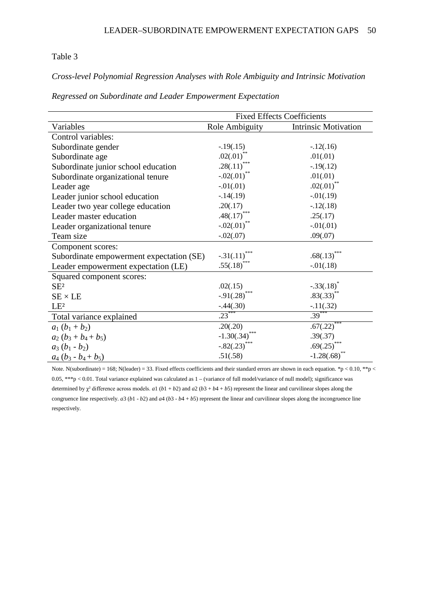# Table 3

*Cross-level Polynomial Regression Analyses with Role Ambiguity and Intrinsic Motivation* 

|  |  | Regressed on Subordinate and Leader Empowerment Expectation |  |
|--|--|-------------------------------------------------------------|--|
|  |  |                                                             |  |

|                                          | <b>Fixed Effects Coefficients</b> |                             |  |  |
|------------------------------------------|-----------------------------------|-----------------------------|--|--|
| Variables                                | Role Ambiguity                    | <b>Intrinsic Motivation</b> |  |  |
| Control variables:                       |                                   |                             |  |  |
| Subordinate gender                       | $-.19(.15)$                       | $-12(.16)$                  |  |  |
| Subordinate age                          | $.02(.01)$ **                     | .01(.01)                    |  |  |
| Subordinate junior school education      | .28(.11)***                       | $-.19(.12)$                 |  |  |
| Subordinate organizational tenure        | $-.02(.01)$ **                    | .01(.01)                    |  |  |
| Leader age                               | $-.01(.01)$                       | $.02(.01)$ **               |  |  |
| Leader junior school education           | $-14(.19)$                        | $-0.01(0.19)$               |  |  |
| Leader two year college education        | .20(.17)                          | $-.12(.18)$                 |  |  |
| Leader master education                  | $.48(.17)$ ***                    | .25(.17)                    |  |  |
| Leader organizational tenure             | $-.02(.01)$                       | $-0.01(0.01)$               |  |  |
| Team size                                | $-.02(.07)$                       | .09(.07)                    |  |  |
| Component scores:                        |                                   |                             |  |  |
| Subordinate empowerment expectation (SE) | $-.31(.11)$                       | .68(.13)                    |  |  |
| Leader empowerment expectation (LE)      | $.55(.18)$ ***                    | $-0.01(0.18)$               |  |  |
| Squared component scores:                |                                   |                             |  |  |
| SE <sup>2</sup>                          | .02(.15)                          | $-.33(.18)^*$               |  |  |
| $SE \times LE$                           | $-.91(.28)$                       | $.83(.33)$ **               |  |  |
| LE <sup>2</sup>                          | $-.44(.30)$                       | $-11(.32)$                  |  |  |
| Total variance explained                 | $.23***$                          | $.39^{*}$                   |  |  |
| $a_1(b_1+b_2)$                           | .20(.20)                          | .67(.22)                    |  |  |
| $a_2(b_3+b_4+b_5)$                       | $-1.30(.34)$                      | .39(.37)                    |  |  |
| $a_3(b_1-b_2)$                           | $-.82(.23)$ ***                   | $.69(.25)$ ***              |  |  |
| $a_4(b_3-b_4+b_5)$                       | .51(.58)                          | $-1.28(.68)$                |  |  |

Note. N(subordinate) = 168; N(leader) = 33. Fixed effects coefficients and their standard errors are shown in each equation. \*p < 0.10, \*\*p < 0.05, \*\*\*p < 0.01. Total variance explained was calculated as 1 – (variance of full model/variance of null model); significance was determined by  $\chi^2$  difference across models. *a*1 (*b*1 + *b*2) and *a*2 (*b*3 + *b*4 + *b*5) represent the linear and curvilinear slopes along the congruence line respectively.  $a3 (b1 - b2)$  and  $a4 (b3 - b4 + b5)$  represent the linear and curvilinear slopes along the incongruence line respectively.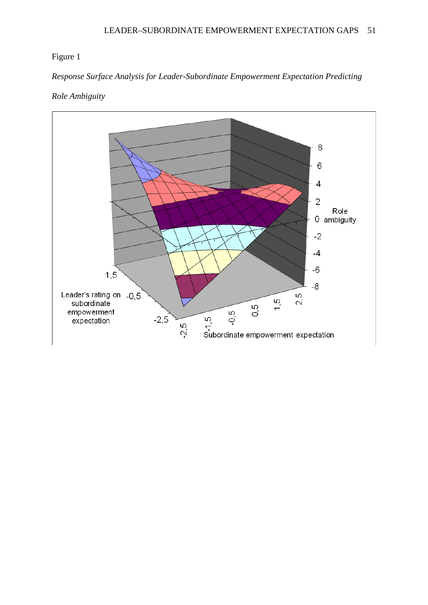# Figure 1

*Response Surface Analysis for Leader-Subordinate Empowerment Expectation Predicting* 

# *Role Ambiguity*